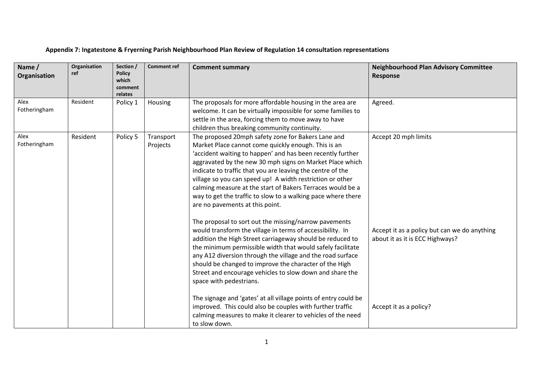## **Appendix 7: Ingatestone & Fryerning Parish Neighbourhood Plan Review of Regulation 14 consultation representations**

| Name /<br>Organisation | Organisation<br>ref | Section /<br><b>Policy</b><br>which<br>comment<br>relates | <b>Comment ref</b>    | <b>Comment summary</b>                                                                                                                                                                                                                                                                                                                                                                                                                                                                                                                                                                                                                                | <b>Neighbourhood Plan Advisory Committee</b><br><b>Response</b>      |
|------------------------|---------------------|-----------------------------------------------------------|-----------------------|-------------------------------------------------------------------------------------------------------------------------------------------------------------------------------------------------------------------------------------------------------------------------------------------------------------------------------------------------------------------------------------------------------------------------------------------------------------------------------------------------------------------------------------------------------------------------------------------------------------------------------------------------------|----------------------------------------------------------------------|
| Alex<br>Fotheringham   | Resident            | Policy 1                                                  | <b>Housing</b>        | The proposals for more affordable housing in the area are<br>welcome. It can be virtually impossible for some families to<br>settle in the area, forcing them to move away to have<br>children thus breaking community continuity.                                                                                                                                                                                                                                                                                                                                                                                                                    | Agreed.                                                              |
| Alex<br>Fotheringham   | Resident            | Policy 5                                                  | Transport<br>Projects | The proposed 20mph safety zone for Bakers Lane and<br>Market Place cannot come quickly enough. This is an<br>'accident waiting to happen' and has been recently further<br>aggravated by the new 30 mph signs on Market Place which<br>indicate to traffic that you are leaving the centre of the<br>village so you can speed up! A width restriction or other<br>calming measure at the start of Bakers Terraces would be a<br>way to get the traffic to slow to a walking pace where there<br>are no pavements at this point.<br>The proposal to sort out the missing/narrow pavements<br>would transform the village in terms of accessibility. In | Accept 20 mph limits<br>Accept it as a policy but can we do anything |
|                        |                     |                                                           |                       | addition the High Street carriageway should be reduced to<br>the minimum permissible width that would safely facilitate<br>any A12 diversion through the village and the road surface<br>should be changed to improve the character of the High<br>Street and encourage vehicles to slow down and share the<br>space with pedestrians.<br>The signage and 'gates' at all village points of entry could be<br>improved. This could also be couples with further traffic<br>calming measures to make it clearer to vehicles of the need<br>to slow down.                                                                                                | about it as it is ECC Highways?<br>Accept it as a policy?            |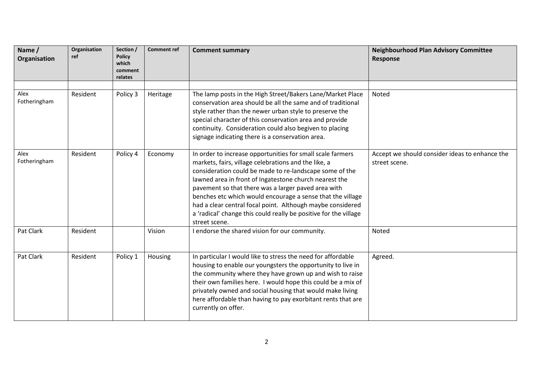| Name /<br>Organisation | Organisation<br>ref | Section /<br><b>Policy</b><br>which<br>comment<br>relates | <b>Comment ref</b> | <b>Comment summary</b>                                                                                                                                                                                                                                                                                                                                                                                                                                                                                          | <b>Neighbourhood Plan Advisory Committee</b><br><b>Response</b> |
|------------------------|---------------------|-----------------------------------------------------------|--------------------|-----------------------------------------------------------------------------------------------------------------------------------------------------------------------------------------------------------------------------------------------------------------------------------------------------------------------------------------------------------------------------------------------------------------------------------------------------------------------------------------------------------------|-----------------------------------------------------------------|
|                        |                     |                                                           |                    |                                                                                                                                                                                                                                                                                                                                                                                                                                                                                                                 |                                                                 |
| Alex<br>Fotheringham   | Resident            | Policy 3                                                  | Heritage           | The lamp posts in the High Street/Bakers Lane/Market Place<br>conservation area should be all the same and of traditional<br>style rather than the newer urban style to preserve the<br>special character of this conservation area and provide<br>continuity. Consideration could also begiven to placing<br>signage indicating there is a conservation area.                                                                                                                                                  | Noted                                                           |
| Alex<br>Fotheringham   | Resident            | Policy 4                                                  | Economy            | In order to increase opportunities for small scale farmers<br>markets, fairs, village celebrations and the like, a<br>consideration could be made to re-landscape some of the<br>lawned area in front of Ingatestone church nearest the<br>pavement so that there was a larger paved area with<br>benches etc which would encourage a sense that the village<br>had a clear central focal point. Although maybe considered<br>a 'radical' change this could really be positive for the village<br>street scene. | Accept we should consider ideas to enhance the<br>street scene. |
| Pat Clark              | Resident            |                                                           | Vision             | I endorse the shared vision for our community.                                                                                                                                                                                                                                                                                                                                                                                                                                                                  | <b>Noted</b>                                                    |
| Pat Clark              | Resident            | Policy 1                                                  | Housing            | In particular I would like to stress the need for affordable<br>housing to enable our youngsters the opportunity to live in<br>the community where they have grown up and wish to raise<br>their own families here. I would hope this could be a mix of<br>privately owned and social housing that would make living<br>here affordable than having to pay exorbitant rents that are<br>currently on offer.                                                                                                     | Agreed.                                                         |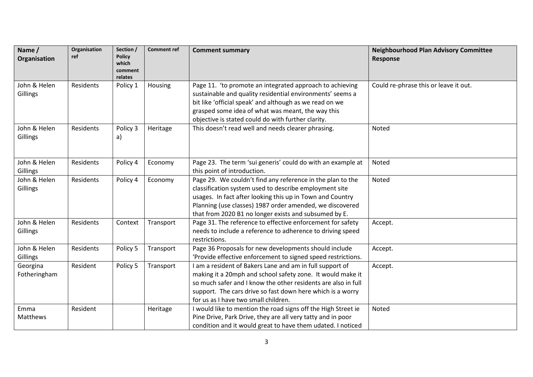| Name /<br>Organisation   | Organisation<br>ref | Section /<br><b>Policy</b><br>which<br>comment<br>relates | <b>Comment ref</b> | <b>Comment summary</b>                                                                                                                                                                                                                                                                                 | <b>Neighbourhood Plan Advisory Committee</b><br>Response |
|--------------------------|---------------------|-----------------------------------------------------------|--------------------|--------------------------------------------------------------------------------------------------------------------------------------------------------------------------------------------------------------------------------------------------------------------------------------------------------|----------------------------------------------------------|
| John & Helen<br>Gillings | Residents           | Policy 1                                                  | Housing            | Page 11. 'to promote an integrated approach to achieving<br>sustainable and quality residential environments' seems a<br>bit like 'official speak' and although as we read on we<br>grasped some idea of what was meant, the way this<br>objective is stated could do with further clarity.            | Could re-phrase this or leave it out.                    |
| John & Helen<br>Gillings | Residents           | Policy 3<br>a)                                            | Heritage           | This doesn't read well and needs clearer phrasing.                                                                                                                                                                                                                                                     | Noted                                                    |
| John & Helen<br>Gillings | Residents           | Policy 4                                                  | Economy            | Page 23. The term 'sui generis' could do with an example at<br>this point of introduction.                                                                                                                                                                                                             | Noted                                                    |
| John & Helen<br>Gillings | Residents           | Policy 4                                                  | Economy            | Page 29. We couldn't find any reference in the plan to the<br>classification system used to describe employment site<br>usages. In fact after looking this up in Town and Country<br>Planning (use classes) 1987 order amended, we discovered<br>that from 2020 B1 no longer exists and subsumed by E. | Noted                                                    |
| John & Helen<br>Gillings | Residents           | Context                                                   | Transport          | Page 31. The reference to effective enforcement for safety<br>needs to include a reference to adherence to driving speed<br>restrictions.                                                                                                                                                              | Accept.                                                  |
| John & Helen<br>Gillings | Residents           | Policy 5                                                  | Transport          | Page 36 Proposals for new developments should include<br>'Provide effective enforcement to signed speed restrictions.                                                                                                                                                                                  | Accept.                                                  |
| Georgina<br>Fotheringham | Resident            | Policy 5                                                  | Transport          | am a resident of Bakers Lane and am in full support of<br>making it a 20mph and school safety zone. It would make it<br>so much safer and I know the other residents are also in full<br>support. The cars drive so fast down here which is a worry<br>for us as I have two small children.            | Accept.                                                  |
| Emma<br>Matthews         | Resident            |                                                           | Heritage           | would like to mention the road signs off the High Street ie<br>Pine Drive, Park Drive, they are all very tatty and in poor<br>condition and it would great to have them udated. I noticed                                                                                                              | Noted                                                    |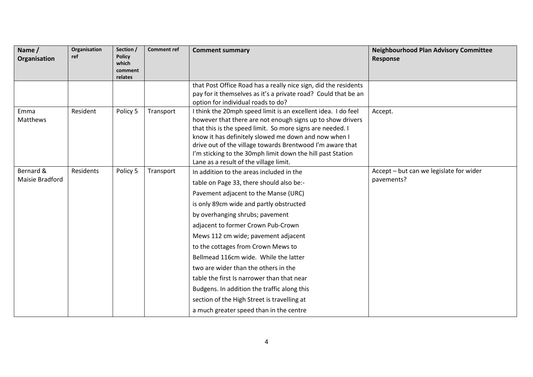| Name /<br>Organisation       | Organisation<br>ref | Section /<br><b>Policy</b><br>which<br>comment<br>relates | <b>Comment ref</b> | <b>Comment summary</b>                                                                                                                                                                                                                                                                                                                                                                                                                                                                                                                                                                                | <b>Neighbourhood Plan Advisory Committee</b><br><b>Response</b> |
|------------------------------|---------------------|-----------------------------------------------------------|--------------------|-------------------------------------------------------------------------------------------------------------------------------------------------------------------------------------------------------------------------------------------------------------------------------------------------------------------------------------------------------------------------------------------------------------------------------------------------------------------------------------------------------------------------------------------------------------------------------------------------------|-----------------------------------------------------------------|
|                              |                     |                                                           |                    | that Post Office Road has a really nice sign, did the residents<br>pay for it themselves as it's a private road? Could that be an<br>option for individual roads to do?                                                                                                                                                                                                                                                                                                                                                                                                                               |                                                                 |
| Emma<br>Matthews             | Resident            | Policy 5                                                  | Transport          | I think the 20mph speed limit is an excellent idea. I do feel<br>however that there are not enough signs up to show drivers<br>that this is the speed limit. So more signs are needed. I<br>know it has definitely slowed me down and now when I<br>drive out of the village towards Brentwood I'm aware that<br>I'm sticking to the 30mph limit down the hill past Station<br>Lane as a result of the village limit.                                                                                                                                                                                 | Accept.                                                         |
| Bernard &<br>Maisie Bradford | Residents           | Policy 5                                                  | Transport          | In addition to the areas included in the<br>table on Page 33, there should also be:-<br>Pavement adjacent to the Manse (URC)<br>is only 89cm wide and partly obstructed<br>by overhanging shrubs; pavement<br>adjacent to former Crown Pub-Crown<br>Mews 112 cm wide; pavement adjacent<br>to the cottages from Crown Mews to<br>Bellmead 116cm wide. While the latter<br>two are wider than the others in the<br>table the first Is narrower than that near<br>Budgens. In addition the traffic along this<br>section of the High Street is travelling at<br>a much greater speed than in the centre | Accept - but can we legislate for wider<br>pavements?           |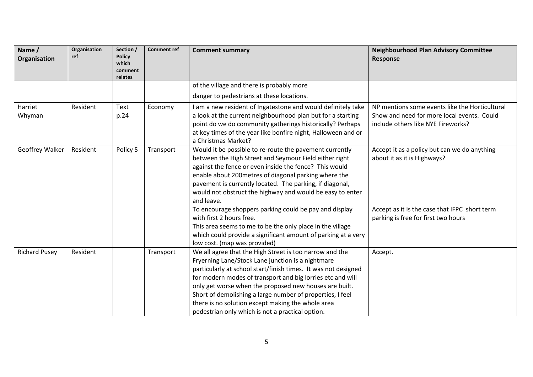| Name /<br>Organisation | Organisation<br>ref | Section /<br><b>Policy</b><br>which<br>comment<br>relates | <b>Comment ref</b> | <b>Comment summary</b>                                                                                                                                                                                                                                                                                                                                                                                                                                                       | <b>Neighbourhood Plan Advisory Committee</b><br><b>Response</b>                                                                    |
|------------------------|---------------------|-----------------------------------------------------------|--------------------|------------------------------------------------------------------------------------------------------------------------------------------------------------------------------------------------------------------------------------------------------------------------------------------------------------------------------------------------------------------------------------------------------------------------------------------------------------------------------|------------------------------------------------------------------------------------------------------------------------------------|
|                        |                     |                                                           |                    | of the village and there is probably more                                                                                                                                                                                                                                                                                                                                                                                                                                    |                                                                                                                                    |
|                        |                     |                                                           |                    | danger to pedestrians at these locations.                                                                                                                                                                                                                                                                                                                                                                                                                                    |                                                                                                                                    |
| Harriet<br>Whyman      | Resident            | Text<br>p.24                                              | Economy            | I am a new resident of Ingatestone and would definitely take<br>a look at the current neighbourhood plan but for a starting<br>point do we do community gatherings historically? Perhaps<br>at key times of the year like bonfire night, Halloween and or<br>a Christmas Market?                                                                                                                                                                                             | NP mentions some events like the Horticultural<br>Show and need for more local events. Could<br>include others like NYE Fireworks? |
| <b>Geoffrey Walker</b> | Resident            | Policy 5                                                  | Transport          | Would it be possible to re-route the pavement currently<br>between the High Street and Seymour Field either right<br>against the fence or even inside the fence? This would<br>enable about 200 metres of diagonal parking where the<br>pavement is currently located. The parking, if diagonal,<br>would not obstruct the highway and would be easy to enter<br>and leave.                                                                                                  | Accept it as a policy but can we do anything<br>about it as it is Highways?                                                        |
|                        |                     |                                                           |                    | To encourage shoppers parking could be pay and display<br>with first 2 hours free.<br>This area seems to me to be the only place in the village<br>which could provide a significant amount of parking at a very<br>low cost. (map was provided)                                                                                                                                                                                                                             | Accept as it is the case that IFPC short term<br>parking is free for first two hours                                               |
| <b>Richard Pusey</b>   | Resident            |                                                           | Transport          | We all agree that the High Street is too narrow and the<br>Fryerning Lane/Stock Lane junction is a nightmare<br>particularly at school start/finish times. It was not designed<br>for modern modes of transport and big lorries etc and will<br>only get worse when the proposed new houses are built.<br>Short of demolishing a large number of properties, I feel<br>there is no solution except making the whole area<br>pedestrian only which is not a practical option. | Accept.                                                                                                                            |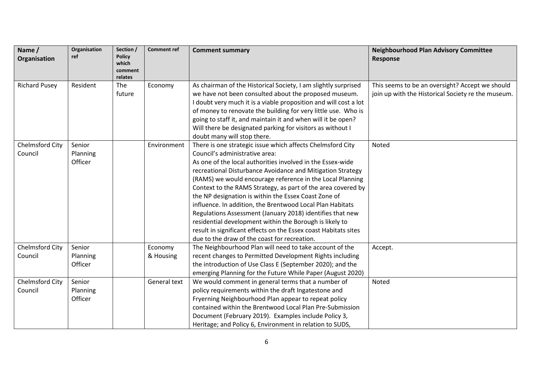| Name /<br>Organisation | Organisation<br>ref | Section /<br><b>Policy</b><br>which<br>comment<br>relates | <b>Comment ref</b> | <b>Comment summary</b>                                           | <b>Neighbourhood Plan Advisory Committee</b><br>Response |
|------------------------|---------------------|-----------------------------------------------------------|--------------------|------------------------------------------------------------------|----------------------------------------------------------|
| <b>Richard Pusey</b>   | Resident            | The                                                       | Economy            | As chairman of the Historical Society, I am slightly surprised   | This seems to be an oversight? Accept we should          |
|                        |                     | future                                                    |                    | we have not been consulted about the proposed museum.            | join up with the Historical Society re the museum.       |
|                        |                     |                                                           |                    | I doubt very much it is a viable proposition and will cost a lot |                                                          |
|                        |                     |                                                           |                    | of money to renovate the building for very little use. Who is    |                                                          |
|                        |                     |                                                           |                    | going to staff it, and maintain it and when will it be open?     |                                                          |
|                        |                     |                                                           |                    | Will there be designated parking for visitors as without I       |                                                          |
|                        |                     |                                                           |                    | doubt many will stop there.                                      |                                                          |
| Chelmsford City        | Senior              |                                                           | Environment        | There is one strategic issue which affects Chelmsford City       | Noted                                                    |
| Council                | Planning            |                                                           |                    | Council's administrative area:                                   |                                                          |
|                        | Officer             |                                                           |                    | As one of the local authorities involved in the Essex-wide       |                                                          |
|                        |                     |                                                           |                    | recreational Disturbance Avoidance and Mitigation Strategy       |                                                          |
|                        |                     |                                                           |                    | (RAMS) we would encourage reference in the Local Planning        |                                                          |
|                        |                     |                                                           |                    | Context to the RAMS Strategy, as part of the area covered by     |                                                          |
|                        |                     |                                                           |                    | the NP designation is within the Essex Coast Zone of             |                                                          |
|                        |                     |                                                           |                    | influence. In addition, the Brentwood Local Plan Habitats        |                                                          |
|                        |                     |                                                           |                    | Regulations Assessment (January 2018) identifies that new        |                                                          |
|                        |                     |                                                           |                    | residential development within the Borough is likely to          |                                                          |
|                        |                     |                                                           |                    | result in significant effects on the Essex coast Habitats sites  |                                                          |
|                        |                     |                                                           |                    | due to the draw of the coast for recreation.                     |                                                          |
| Chelmsford City        | Senior              |                                                           | Economy            | The Neighbourhood Plan will need to take account of the          | Accept.                                                  |
| Council                | Planning            |                                                           | & Housing          | recent changes to Permitted Development Rights including         |                                                          |
|                        | Officer             |                                                           |                    | the introduction of Use Class E (September 2020); and the        |                                                          |
|                        |                     |                                                           |                    | emerging Planning for the Future While Paper (August 2020)       |                                                          |
| Chelmsford City        | Senior              |                                                           | General text       | We would comment in general terms that a number of               | Noted                                                    |
| Council                | Planning            |                                                           |                    | policy requirements within the draft Ingatestone and             |                                                          |
|                        | Officer             |                                                           |                    | Fryerning Neighbourhood Plan appear to repeat policy             |                                                          |
|                        |                     |                                                           |                    | contained within the Brentwood Local Plan Pre-Submission         |                                                          |
|                        |                     |                                                           |                    | Document (February 2019). Examples include Policy 3,             |                                                          |
|                        |                     |                                                           |                    | Heritage; and Policy 6, Environment in relation to SUDS,         |                                                          |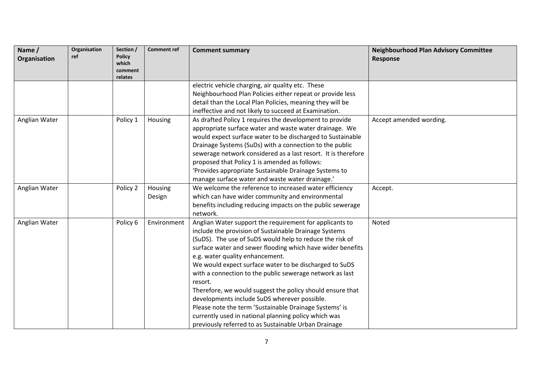| Name /<br>Organisation | Organisation<br>ref | Section /<br><b>Policy</b><br>which<br>comment<br>relates | <b>Comment ref</b>       | <b>Comment summary</b>                                                                                                                                                                                                                                                                                                                                                                                                                                                                                                                                                                                                                                                                                | <b>Neighbourhood Plan Advisory Committee</b><br><b>Response</b> |
|------------------------|---------------------|-----------------------------------------------------------|--------------------------|-------------------------------------------------------------------------------------------------------------------------------------------------------------------------------------------------------------------------------------------------------------------------------------------------------------------------------------------------------------------------------------------------------------------------------------------------------------------------------------------------------------------------------------------------------------------------------------------------------------------------------------------------------------------------------------------------------|-----------------------------------------------------------------|
|                        |                     |                                                           |                          | electric vehicle charging, air quality etc. These<br>Neighbourhood Plan Policies either repeat or provide less<br>detail than the Local Plan Policies, meaning they will be<br>ineffective and not likely to succeed at Examination.                                                                                                                                                                                                                                                                                                                                                                                                                                                                  |                                                                 |
| Anglian Water          |                     | Policy 1                                                  | Housing                  | As drafted Policy 1 requires the development to provide<br>appropriate surface water and waste water drainage. We<br>would expect surface water to be discharged to Sustainable<br>Drainage Systems (SuDs) with a connection to the public<br>sewerage network considered as a last resort. It is therefore<br>proposed that Policy 1 is amended as follows:<br>'Provides appropriate Sustainable Drainage Systems to<br>manage surface water and waste water drainage.'                                                                                                                                                                                                                              | Accept amended wording.                                         |
| Anglian Water          |                     | Policy 2                                                  | <b>Housing</b><br>Design | We welcome the reference to increased water efficiency<br>which can have wider community and environmental<br>benefits including reducing impacts on the public sewerage<br>network.                                                                                                                                                                                                                                                                                                                                                                                                                                                                                                                  | Accept.                                                         |
| Anglian Water          |                     | Policy 6                                                  | Environment              | Anglian Water support the requirement for applicants to<br>include the provision of Sustainable Drainage Systems<br>(SuDS). The use of SuDS would help to reduce the risk of<br>surface water and sewer flooding which have wider benefits<br>e.g. water quality enhancement.<br>We would expect surface water to be discharged to SuDS<br>with a connection to the public sewerage network as last<br>resort.<br>Therefore, we would suggest the policy should ensure that<br>developments include SuDS wherever possible.<br>Please note the term 'Sustainable Drainage Systems' is<br>currently used in national planning policy which was<br>previously referred to as Sustainable Urban Drainage | Noted                                                           |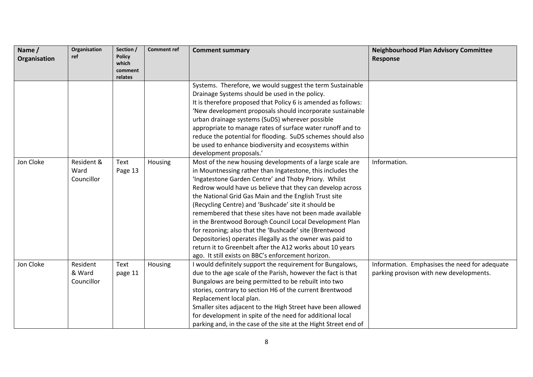| Name /<br>Organisation | Organisation<br>ref | Section /<br><b>Policy</b><br>which | <b>Comment ref</b> | <b>Comment summary</b>                                                                 | <b>Neighbourhood Plan Advisory Committee</b><br><b>Response</b> |
|------------------------|---------------------|-------------------------------------|--------------------|----------------------------------------------------------------------------------------|-----------------------------------------------------------------|
|                        |                     | comment                             |                    |                                                                                        |                                                                 |
|                        |                     | relates                             |                    | Systems. Therefore, we would suggest the term Sustainable                              |                                                                 |
|                        |                     |                                     |                    | Drainage Systems should be used in the policy.                                         |                                                                 |
|                        |                     |                                     |                    | It is therefore proposed that Policy 6 is amended as follows:                          |                                                                 |
|                        |                     |                                     |                    | 'New development proposals should incorporate sustainable                              |                                                                 |
|                        |                     |                                     |                    | urban drainage systems (SuDS) wherever possible                                        |                                                                 |
|                        |                     |                                     |                    | appropriate to manage rates of surface water runoff and to                             |                                                                 |
|                        |                     |                                     |                    | reduce the potential for flooding. SuDS schemes should also                            |                                                                 |
|                        |                     |                                     |                    | be used to enhance biodiversity and ecosystems within                                  |                                                                 |
|                        |                     |                                     |                    | development proposals.'                                                                |                                                                 |
| Jon Cloke              | Resident &          | Text                                | Housing            | Most of the new housing developments of a large scale are                              | Information.                                                    |
|                        | Ward                | Page 13                             |                    | in Mountnessing rather than Ingatestone, this includes the                             |                                                                 |
|                        | Councillor          |                                     |                    | 'Ingatestone Garden Centre' and Thoby Priory. Whilst                                   |                                                                 |
|                        |                     |                                     |                    | Redrow would have us believe that they can develop across                              |                                                                 |
|                        |                     |                                     |                    | the National Grid Gas Main and the English Trust site                                  |                                                                 |
|                        |                     |                                     |                    | (Recycling Centre) and 'Bushcade' site it should be                                    |                                                                 |
|                        |                     |                                     |                    | remembered that these sites have not been made available                               |                                                                 |
|                        |                     |                                     |                    | in the Brentwood Borough Council Local Development Plan                                |                                                                 |
|                        |                     |                                     |                    | for rezoning; also that the 'Bushcade' site (Brentwood                                 |                                                                 |
|                        |                     |                                     |                    | Depositories) operates illegally as the owner was paid to                              |                                                                 |
|                        |                     |                                     |                    | return it to Greenbelt after the A12 works about 10 years                              |                                                                 |
|                        |                     |                                     |                    | ago. It still exists on BBC's enforcement horizon.                                     |                                                                 |
| Jon Cloke              | Resident            | Text                                | Housing            | would definitely support the requirement for Bungalows,                                | Information. Emphasises the need for adequate                   |
|                        | & Ward              | page 11                             |                    | due to the age scale of the Parish, however the fact is that                           | parking provison with new developments.                         |
|                        | Councillor          |                                     |                    | Bungalows are being permitted to be rebuilt into two                                   |                                                                 |
|                        |                     |                                     |                    | stories, contrary to section H6 of the current Brentwood                               |                                                                 |
|                        |                     |                                     |                    | Replacement local plan.<br>Smaller sites adjacent to the High Street have been allowed |                                                                 |
|                        |                     |                                     |                    | for development in spite of the need for additional local                              |                                                                 |
|                        |                     |                                     |                    |                                                                                        |                                                                 |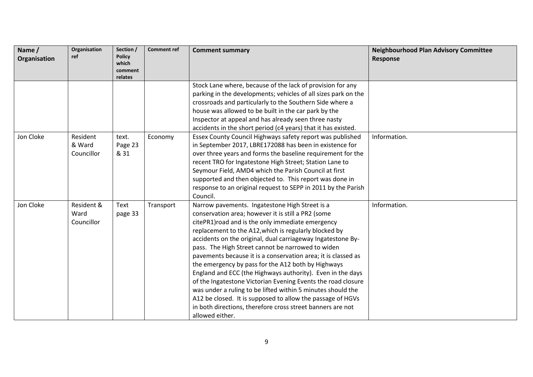| Name /<br>Organisation | Organisation<br>ref | Section /<br><b>Policy</b> | <b>Comment ref</b> | <b>Comment summary</b>                                         | <b>Neighbourhood Plan Advisory Committee</b><br>Response |
|------------------------|---------------------|----------------------------|--------------------|----------------------------------------------------------------|----------------------------------------------------------|
|                        |                     | which<br>comment           |                    |                                                                |                                                          |
|                        |                     | relates                    |                    |                                                                |                                                          |
|                        |                     |                            |                    | Stock Lane where, because of the lack of provision for any     |                                                          |
|                        |                     |                            |                    | parking in the developments; vehicles of all sizes park on the |                                                          |
|                        |                     |                            |                    | crossroads and particularly to the Southern Side where a       |                                                          |
|                        |                     |                            |                    | house was allowed to be built in the car park by the           |                                                          |
|                        |                     |                            |                    | Inspector at appeal and has already seen three nasty           |                                                          |
|                        |                     |                            |                    | accidents in the short period (c4 years) that it has existed.  |                                                          |
| Jon Cloke              | Resident            | text.                      | Economy            | Essex County Council Highways safety report was published      | Information.                                             |
|                        | & Ward              | Page 23                    |                    | in September 2017, LBRE172088 has been in existence for        |                                                          |
|                        | Councillor          | & 31                       |                    | over three years and forms the baseline requirement for the    |                                                          |
|                        |                     |                            |                    | recent TRO for Ingatestone High Street; Station Lane to        |                                                          |
|                        |                     |                            |                    | Seymour Field, AMD4 which the Parish Council at first          |                                                          |
|                        |                     |                            |                    | supported and then objected to. This report was done in        |                                                          |
|                        |                     |                            |                    | response to an original request to SEPP in 2011 by the Parish  |                                                          |
|                        |                     |                            |                    | Council.                                                       |                                                          |
| Jon Cloke              | Resident &          | Text                       | Transport          | Narrow pavements. Ingatestone High Street is a                 | Information.                                             |
|                        | Ward                | page 33                    |                    | conservation area; however it is still a PR2 (some             |                                                          |
|                        | Councillor          |                            |                    | citePR1) road and is the only immediate emergency              |                                                          |
|                        |                     |                            |                    | replacement to the A12, which is regularly blocked by          |                                                          |
|                        |                     |                            |                    | accidents on the original, dual carriageway Ingatestone By-    |                                                          |
|                        |                     |                            |                    | pass. The High Street cannot be narrowed to widen              |                                                          |
|                        |                     |                            |                    | pavements because it is a conservation area; it is classed as  |                                                          |
|                        |                     |                            |                    | the emergency by pass for the A12 both by Highways             |                                                          |
|                        |                     |                            |                    | England and ECC (the Highways authority). Even in the days     |                                                          |
|                        |                     |                            |                    | of the Ingatestone Victorian Evening Events the road closure   |                                                          |
|                        |                     |                            |                    | was under a ruling to be lifted within 5 minutes should the    |                                                          |
|                        |                     |                            |                    | A12 be closed. It is supposed to allow the passage of HGVs     |                                                          |
|                        |                     |                            |                    | in both directions, therefore cross street banners are not     |                                                          |
|                        |                     |                            |                    | allowed either.                                                |                                                          |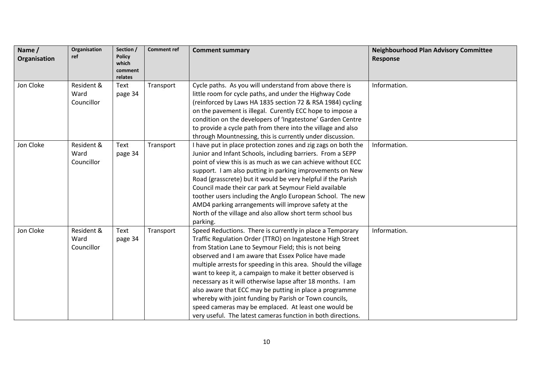| Name /       | <b>Organisation</b><br>ref       | Section /<br><b>Policy</b>  | <b>Comment ref</b> | <b>Comment summary</b>                                                                                                                                                                                                                                                                                                                                                                                                                                                                                                                                                                                                                                                            | <b>Neighbourhood Plan Advisory Committee</b> |
|--------------|----------------------------------|-----------------------------|--------------------|-----------------------------------------------------------------------------------------------------------------------------------------------------------------------------------------------------------------------------------------------------------------------------------------------------------------------------------------------------------------------------------------------------------------------------------------------------------------------------------------------------------------------------------------------------------------------------------------------------------------------------------------------------------------------------------|----------------------------------------------|
| Organisation |                                  | which<br>comment<br>relates |                    |                                                                                                                                                                                                                                                                                                                                                                                                                                                                                                                                                                                                                                                                                   | Response                                     |
| Jon Cloke    | Resident &<br>Ward<br>Councillor | Text<br>page 34             | Transport          | Cycle paths. As you will understand from above there is<br>little room for cycle paths, and under the Highway Code<br>(reinforced by Laws HA 1835 section 72 & RSA 1984) cycling<br>on the pavement is illegal. Curently ECC hope to impose a<br>condition on the developers of 'Ingatestone' Garden Centre<br>to provide a cycle path from there into the village and also<br>through Mountnessing, this is currently under discussion.                                                                                                                                                                                                                                          | Information.                                 |
| Jon Cloke    | Resident &<br>Ward<br>Councillor | Text<br>page 34             | Transport          | I have put in place protection zones and zig zags on both the<br>Junior and Infant Schools, including barriers. From a SEPP<br>point of view this is as much as we can achieve without ECC<br>support. I am also putting in parking improvements on New<br>Road (grasscrete) but it would be very helpful if the Parish<br>Council made their car park at Seymour Field available<br>toother users including the Anglo European School. The new<br>AMD4 parking arrangements will improve safety at the<br>North of the village and also allow short term school bus<br>parking.                                                                                                  | Information.                                 |
| Jon Cloke    | Resident &<br>Ward<br>Councillor | Text<br>page 34             | Transport          | Speed Reductions. There is currently in place a Temporary<br>Traffic Regulation Order (TTRO) on Ingatestone High Street<br>from Station Lane to Seymour Field; this is not being<br>observed and I am aware that Essex Police have made<br>multiple arrests for speeding in this area. Should the village<br>want to keep it, a campaign to make it better observed is<br>necessary as it will otherwise lapse after 18 months. I am<br>also aware that ECC may be putting in place a programme<br>whereby with joint funding by Parish or Town councils,<br>speed cameras may be emplaced. At least one would be<br>very useful. The latest cameras function in both directions. | Information.                                 |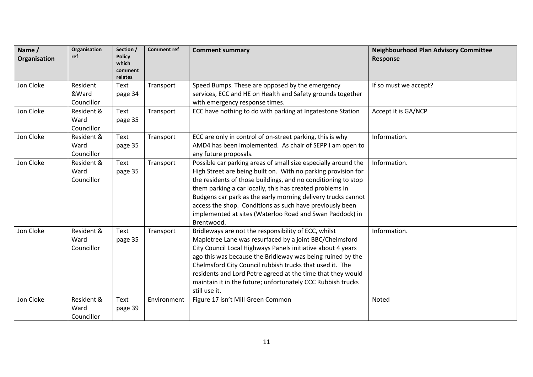| Name /<br>Organisation | Organisation<br>ref              | Section /<br><b>Policy</b><br>which<br>comment<br>relates | <b>Comment ref</b> | <b>Comment summary</b>                                                                                                                                                                                                                                                                                                                                                                                                                                             | <b>Neighbourhood Plan Advisory Committee</b><br>Response |
|------------------------|----------------------------------|-----------------------------------------------------------|--------------------|--------------------------------------------------------------------------------------------------------------------------------------------------------------------------------------------------------------------------------------------------------------------------------------------------------------------------------------------------------------------------------------------------------------------------------------------------------------------|----------------------------------------------------------|
| Jon Cloke              | Resident<br>&Ward<br>Councillor  | Text<br>page 34                                           | Transport          | Speed Bumps. These are opposed by the emergency<br>services, ECC and HE on Health and Safety grounds together<br>with emergency response times.                                                                                                                                                                                                                                                                                                                    | If so must we accept?                                    |
| Jon Cloke              | Resident &<br>Ward<br>Councillor | Text<br>page 35                                           | Transport          | ECC have nothing to do with parking at Ingatestone Station                                                                                                                                                                                                                                                                                                                                                                                                         | Accept it is GA/NCP                                      |
| Jon Cloke              | Resident &<br>Ward<br>Councillor | Text<br>page 35                                           | Transport          | ECC are only in control of on-street parking, this is why<br>AMD4 has been implemented. As chair of SEPP I am open to<br>any future proposals.                                                                                                                                                                                                                                                                                                                     | Information.                                             |
| Jon Cloke              | Resident &<br>Ward<br>Councillor | Text<br>page 35                                           | Transport          | Possible car parking areas of small size especially around the<br>High Street are being built on. With no parking provision for<br>the residents of those buildings, and no conditioning to stop<br>them parking a car locally, this has created problems in<br>Budgens car park as the early morning delivery trucks cannot<br>access the shop. Conditions as such have previously been<br>implemented at sites (Waterloo Road and Swan Paddock) in<br>Brentwood. | Information.                                             |
| Jon Cloke              | Resident &<br>Ward<br>Councillor | Text<br>page 35                                           | Transport          | Bridleways are not the responsibility of ECC, whilst<br>Mapletree Lane was resurfaced by a joint BBC/Chelmsford<br>City Council Local Highways Panels initiative about 4 years<br>ago this was because the Bridleway was being ruined by the<br>Chelmsford City Council rubbish trucks that used it. The<br>residents and Lord Petre agreed at the time that they would<br>maintain it in the future; unfortunately CCC Rubbish trucks<br>still use it.            | Information.                                             |
| Jon Cloke              | Resident &<br>Ward<br>Councillor | Text<br>page 39                                           | Environment        | Figure 17 isn't Mill Green Common                                                                                                                                                                                                                                                                                                                                                                                                                                  | Noted                                                    |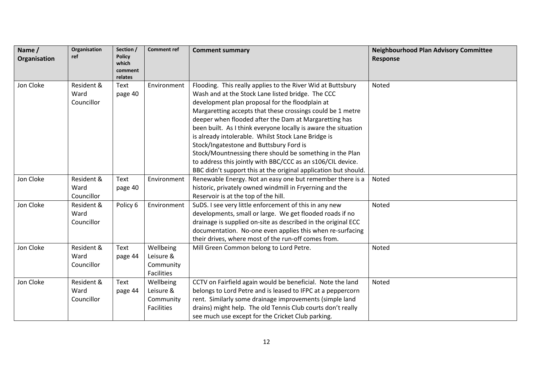| Name /<br>Organisation | Organisation<br>ref | Section /<br><b>Policy</b><br>which<br>comment | <b>Comment ref</b> | <b>Comment summary</b>                                          | <b>Neighbourhood Plan Advisory Committee</b><br><b>Response</b> |
|------------------------|---------------------|------------------------------------------------|--------------------|-----------------------------------------------------------------|-----------------------------------------------------------------|
|                        |                     | relates                                        |                    |                                                                 |                                                                 |
| Jon Cloke              | Resident &          | Text                                           | Environment        | Flooding. This really applies to the River Wid at Buttsbury     | Noted                                                           |
|                        | Ward                | page 40                                        |                    | Wash and at the Stock Lane listed bridge. The CCC               |                                                                 |
|                        | Councillor          |                                                |                    | development plan proposal for the floodplain at                 |                                                                 |
|                        |                     |                                                |                    | Margaretting accepts that these crossings could be 1 metre      |                                                                 |
|                        |                     |                                                |                    | deeper when flooded after the Dam at Margaretting has           |                                                                 |
|                        |                     |                                                |                    | been built. As I think everyone locally is aware the situation  |                                                                 |
|                        |                     |                                                |                    | is already intolerable. Whilst Stock Lane Bridge is             |                                                                 |
|                        |                     |                                                |                    | Stock/Ingatestone and Buttsbury Ford is                         |                                                                 |
|                        |                     |                                                |                    | Stock/Mountnessing there should be something in the Plan        |                                                                 |
|                        |                     |                                                |                    | to address this jointly with BBC/CCC as an s106/CIL device.     |                                                                 |
|                        |                     |                                                |                    | BBC didn't support this at the original application but should. |                                                                 |
| Jon Cloke              | Resident &          | Text                                           | Environment        | Renewable Energy. Not an easy one but remember there is a       | Noted                                                           |
|                        | Ward                | page 40                                        |                    | historic, privately owned windmill in Fryerning and the         |                                                                 |
|                        | Councillor          |                                                |                    | Reservoir is at the top of the hill.                            |                                                                 |
| Jon Cloke              | Resident &          | Policy 6                                       | Environment        | SuDS. I see very little enforcement of this in any new          | Noted                                                           |
|                        | Ward                |                                                |                    | developments, small or large. We get flooded roads if no        |                                                                 |
|                        | Councillor          |                                                |                    | drainage is supplied on-site as described in the original ECC   |                                                                 |
|                        |                     |                                                |                    | documentation. No-one even applies this when re-surfacing       |                                                                 |
|                        |                     |                                                |                    | their drives, where most of the run-off comes from.             |                                                                 |
| Jon Cloke              | Resident &          | Text                                           | Wellbeing          | Mill Green Common belong to Lord Petre.                         | Noted                                                           |
|                        | Ward                | page 44                                        | Leisure &          |                                                                 |                                                                 |
|                        | Councillor          |                                                | Community          |                                                                 |                                                                 |
|                        |                     |                                                | <b>Facilities</b>  |                                                                 |                                                                 |
| Jon Cloke              | Resident &          | Text                                           | Wellbeing          | CCTV on Fairfield again would be beneficial. Note the land      | Noted                                                           |
|                        | Ward                | page 44                                        | Leisure &          | belongs to Lord Petre and is leased to IFPC at a peppercorn     |                                                                 |
|                        | Councillor          |                                                | Community          | rent. Similarly some drainage improvements (simple land         |                                                                 |
|                        |                     |                                                | <b>Facilities</b>  | drains) might help. The old Tennis Club courts don't really     |                                                                 |
|                        |                     |                                                |                    | see much use except for the Cricket Club parking.               |                                                                 |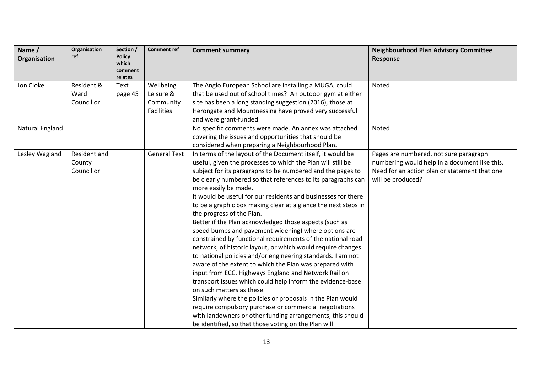| Name /<br>Organisation | Organisation<br>ref                  | Section /<br><b>Policy</b><br>which<br>comment<br>relates | <b>Comment ref</b>                                       | <b>Comment summary</b>                                                                                                                                                                                                                                                                                                                                                                                                                                                                                                                                                                                                                                                                                                                                                                                                                                                                                                                                                                                                                                                                                                                                                                                                      | <b>Neighbourhood Plan Advisory Committee</b><br><b>Response</b>                                                                                               |
|------------------------|--------------------------------------|-----------------------------------------------------------|----------------------------------------------------------|-----------------------------------------------------------------------------------------------------------------------------------------------------------------------------------------------------------------------------------------------------------------------------------------------------------------------------------------------------------------------------------------------------------------------------------------------------------------------------------------------------------------------------------------------------------------------------------------------------------------------------------------------------------------------------------------------------------------------------------------------------------------------------------------------------------------------------------------------------------------------------------------------------------------------------------------------------------------------------------------------------------------------------------------------------------------------------------------------------------------------------------------------------------------------------------------------------------------------------|---------------------------------------------------------------------------------------------------------------------------------------------------------------|
| Jon Cloke              | Resident &<br>Ward<br>Councillor     | Text<br>page 45                                           | Wellbeing<br>Leisure &<br>Community<br><b>Facilities</b> | The Anglo European School are installing a MUGA, could<br>that be used out of school times? An outdoor gym at either<br>site has been a long standing suggestion (2016), those at<br>Herongate and Mountnessing have proved very successful<br>and were grant-funded.                                                                                                                                                                                                                                                                                                                                                                                                                                                                                                                                                                                                                                                                                                                                                                                                                                                                                                                                                       | Noted                                                                                                                                                         |
| <b>Natural England</b> |                                      |                                                           |                                                          | No specific comments were made. An annex was attached<br>covering the issues and opportunities that should be<br>considered when preparing a Neighbourhood Plan.                                                                                                                                                                                                                                                                                                                                                                                                                                                                                                                                                                                                                                                                                                                                                                                                                                                                                                                                                                                                                                                            | Noted                                                                                                                                                         |
| Lesley Wagland         | Resident and<br>County<br>Councillor |                                                           | <b>General Text</b>                                      | In terms of the layout of the Document itself, it would be<br>useful, given the processes to which the Plan will still be<br>subject for its paragraphs to be numbered and the pages to<br>be clearly numbered so that references to its paragraphs can<br>more easily be made.<br>It would be useful for our residents and businesses for there<br>to be a graphic box making clear at a glance the next steps in<br>the progress of the Plan.<br>Better if the Plan acknowledged those aspects (such as<br>speed bumps and pavement widening) where options are<br>constrained by functional requirements of the national road<br>network, of historic layout, or which would require changes<br>to national policies and/or engineering standards. I am not<br>aware of the extent to which the Plan was prepared with<br>input from ECC, Highways England and Network Rail on<br>transport issues which could help inform the evidence-base<br>on such matters as these.<br>Similarly where the policies or proposals in the Plan would<br>require compulsory purchase or commercial negotiations<br>with landowners or other funding arrangements, this should<br>be identified, so that those voting on the Plan will | Pages are numbered, not sure paragraph<br>numbering would help in a document like this.<br>Need for an action plan or statement that one<br>will be produced? |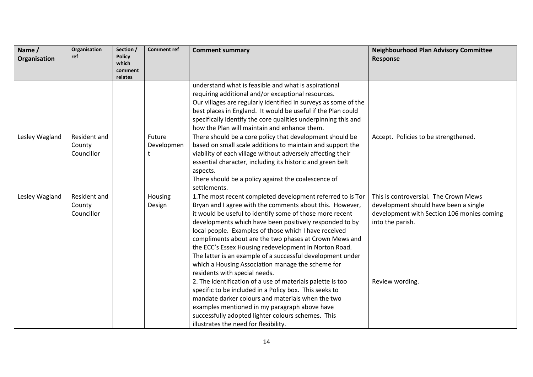| Name/<br>Organisation | Organisation<br>ref                  | Section /<br><b>Policy</b><br>which<br>comment<br>relates | <b>Comment ref</b>        | <b>Comment summary</b>                                                                                                                                                                                                                                                                                                                                                                                                                                                                                                                                                                                                                                                                                                                                                                                                                                                                                      | <b>Neighbourhood Plan Advisory Committee</b><br>Response                                                                                                            |
|-----------------------|--------------------------------------|-----------------------------------------------------------|---------------------------|-------------------------------------------------------------------------------------------------------------------------------------------------------------------------------------------------------------------------------------------------------------------------------------------------------------------------------------------------------------------------------------------------------------------------------------------------------------------------------------------------------------------------------------------------------------------------------------------------------------------------------------------------------------------------------------------------------------------------------------------------------------------------------------------------------------------------------------------------------------------------------------------------------------|---------------------------------------------------------------------------------------------------------------------------------------------------------------------|
|                       |                                      |                                                           |                           | understand what is feasible and what is aspirational<br>requiring additional and/or exceptional resources.<br>Our villages are regularly identified in surveys as some of the<br>best places in England. It would be useful if the Plan could<br>specifically identify the core qualities underpinning this and<br>how the Plan will maintain and enhance them.                                                                                                                                                                                                                                                                                                                                                                                                                                                                                                                                             |                                                                                                                                                                     |
| Lesley Wagland        | Resident and<br>County<br>Councillor |                                                           | Future<br>Developmen<br>t | There should be a core policy that development should be<br>based on small scale additions to maintain and support the<br>viability of each village without adversely affecting their<br>essential character, including its historic and green belt<br>aspects.<br>There should be a policy against the coalescence of<br>settlements.                                                                                                                                                                                                                                                                                                                                                                                                                                                                                                                                                                      | Accept. Policies to be strengthened.                                                                                                                                |
| Lesley Wagland        | Resident and<br>County<br>Councillor |                                                           | Housing<br>Design         | 1. The most recent completed development referred to is Tor<br>Bryan and I agree with the comments about this. However,<br>it would be useful to identify some of those more recent<br>developments which have been positively responded to by<br>local people. Examples of those which I have received<br>compliments about are the two phases at Crown Mews and<br>the ECC's Essex Housing redevelopment in Norton Road.<br>The latter is an example of a successful development under<br>which a Housing Association manage the scheme for<br>residents with special needs.<br>2. The identification of a use of materials palette is too<br>specific to be included in a Policy box. This seeks to<br>mandate darker colours and materials when the two<br>examples mentioned in my paragraph above have<br>successfully adopted lighter colours schemes. This<br>illustrates the need for flexibility. | This is controversial. The Crown Mews<br>development should have been a single<br>development with Section 106 monies coming<br>into the parish.<br>Review wording. |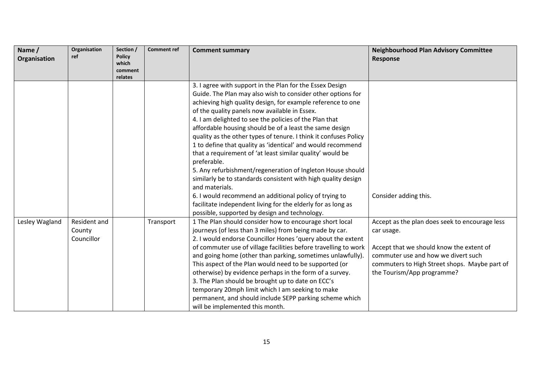| Name /         | Organisation | Section /              | <b>Comment ref</b> | <b>Comment summary</b>                                           | <b>Neighbourhood Plan Advisory Committee</b>   |
|----------------|--------------|------------------------|--------------------|------------------------------------------------------------------|------------------------------------------------|
| Organisation   | ref          | <b>Policy</b><br>which |                    |                                                                  | <b>Response</b>                                |
|                |              | comment                |                    |                                                                  |                                                |
|                |              | relates                |                    |                                                                  |                                                |
|                |              |                        |                    | 3. I agree with support in the Plan for the Essex Design         |                                                |
|                |              |                        |                    | Guide. The Plan may also wish to consider other options for      |                                                |
|                |              |                        |                    | achieving high quality design, for example reference to one      |                                                |
|                |              |                        |                    | of the quality panels now available in Essex.                    |                                                |
|                |              |                        |                    | 4. I am delighted to see the policies of the Plan that           |                                                |
|                |              |                        |                    | affordable housing should be of a least the same design          |                                                |
|                |              |                        |                    | quality as the other types of tenure. I think it confuses Policy |                                                |
|                |              |                        |                    | 1 to define that quality as 'identical' and would recommend      |                                                |
|                |              |                        |                    | that a requirement of 'at least similar quality' would be        |                                                |
|                |              |                        |                    | preferable.                                                      |                                                |
|                |              |                        |                    | 5. Any refurbishment/regeneration of Ingleton House should       |                                                |
|                |              |                        |                    | similarly be to standards consistent with high quality design    |                                                |
|                |              |                        |                    | and materials.                                                   |                                                |
|                |              |                        |                    | 6. I would recommend an additional policy of trying to           | Consider adding this.                          |
|                |              |                        |                    | facilitate independent living for the elderly for as long as     |                                                |
|                |              |                        |                    | possible, supported by design and technology.                    |                                                |
| Lesley Wagland | Resident and |                        | Transport          | 1 The Plan should consider how to encourage short local          | Accept as the plan does seek to encourage less |
|                | County       |                        |                    | journeys (of less than 3 miles) from being made by car.          | car usage.                                     |
|                | Councillor   |                        |                    | 2. I would endorse Councillor Hones 'query about the extent      |                                                |
|                |              |                        |                    | of commuter use of village facilities before travelling to work  | Accept that we should know the extent of       |
|                |              |                        |                    | and going home (other than parking, sometimes unlawfully).       | commuter use and how we divert such            |
|                |              |                        |                    | This aspect of the Plan would need to be supported (or           | commuters to High Street shops. Maybe part of  |
|                |              |                        |                    | otherwise) by evidence perhaps in the form of a survey.          | the Tourism/App programme?                     |
|                |              |                        |                    | 3. The Plan should be brought up to date on ECC's                |                                                |
|                |              |                        |                    | temporary 20mph limit which I am seeking to make                 |                                                |
|                |              |                        |                    | permanent, and should include SEPP parking scheme which          |                                                |
|                |              |                        |                    | will be implemented this month.                                  |                                                |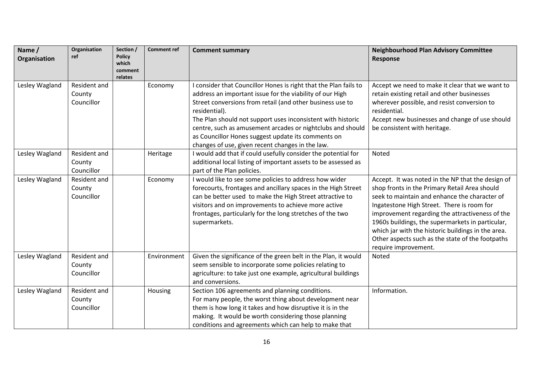| Name /<br>Organisation | Organisation<br>ref                         | Section /<br><b>Policy</b><br>which<br>comment<br>relates | <b>Comment ref</b> | <b>Comment summary</b>                                                                                                                                                                                                                                                                                                                                                                                                                            | <b>Neighbourhood Plan Advisory Committee</b><br><b>Response</b>                                                                                                                                                                                                                                                                                                                                                                            |
|------------------------|---------------------------------------------|-----------------------------------------------------------|--------------------|---------------------------------------------------------------------------------------------------------------------------------------------------------------------------------------------------------------------------------------------------------------------------------------------------------------------------------------------------------------------------------------------------------------------------------------------------|--------------------------------------------------------------------------------------------------------------------------------------------------------------------------------------------------------------------------------------------------------------------------------------------------------------------------------------------------------------------------------------------------------------------------------------------|
| Lesley Wagland         | Resident and<br>County<br>Councillor        |                                                           | Economy            | I consider that Councillor Hones is right that the Plan fails to<br>address an important issue for the viability of our High<br>Street conversions from retail (and other business use to<br>residential).<br>The Plan should not support uses inconsistent with historic<br>centre, such as amusement arcades or nightclubs and should<br>as Councillor Hones suggest update its comments on<br>changes of use, given recent changes in the law. | Accept we need to make it clear that we want to<br>retain existing retail and other businesses<br>wherever possible, and resist conversion to<br>residential.<br>Accept new businesses and change of use should<br>be consistent with heritage.                                                                                                                                                                                            |
| Lesley Wagland         | Resident and<br>County<br>Councillor        |                                                           | Heritage           | I would add that if could usefully consider the potential for<br>additional local listing of important assets to be assessed as<br>part of the Plan policies.                                                                                                                                                                                                                                                                                     | Noted                                                                                                                                                                                                                                                                                                                                                                                                                                      |
| Lesley Wagland         | Resident and<br>County<br>Councillor        |                                                           | Economy            | I would like to see some policies to address how wider<br>forecourts, frontages and ancillary spaces in the High Street<br>can be better used to make the High Street attractive to<br>visitors and on improvements to achieve more active<br>frontages, particularly for the long stretches of the two<br>supermarkets.                                                                                                                          | Accept. It was noted in the NP that the design of<br>shop fronts in the Primary Retail Area should<br>seek to maintain and enhance the character of<br>Ingatestone High Street. There is room for<br>improvement regarding the attractiveness of the<br>1960s buildings, the supermarkets in particular,<br>which jar with the historic buildings in the area.<br>Other aspects such as the state of the footpaths<br>require improvement. |
| Lesley Wagland         | <b>Resident and</b><br>County<br>Councillor |                                                           | Environment        | Given the significance of the green belt in the Plan, it would<br>seem sensible to incorporate some policies relating to<br>agriculture: to take just one example, agricultural buildings<br>and conversions.                                                                                                                                                                                                                                     | Noted                                                                                                                                                                                                                                                                                                                                                                                                                                      |
| Lesley Wagland         | Resident and<br>County<br>Councillor        |                                                           | Housing            | Section 106 agreements and planning conditions.<br>For many people, the worst thing about development near<br>them is how long it takes and how disruptive it is in the<br>making. It would be worth considering those planning<br>conditions and agreements which can help to make that                                                                                                                                                          | Information.                                                                                                                                                                                                                                                                                                                                                                                                                               |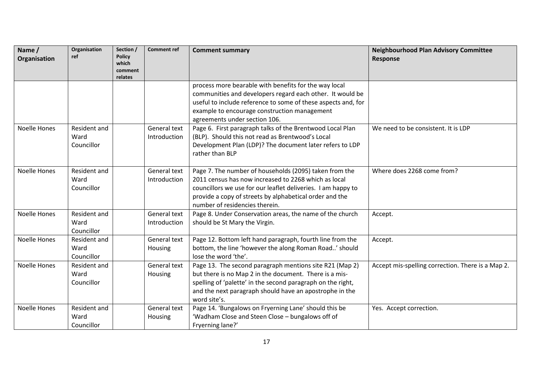| Name /<br>Organisation | Organisation<br>ref                       | Section /<br><b>Policy</b><br>which<br>comment<br>relates | <b>Comment ref</b>                  | <b>Comment summary</b>                                                                                                                                                                                                                                                      | <b>Neighbourhood Plan Advisory Committee</b><br>Response |
|------------------------|-------------------------------------------|-----------------------------------------------------------|-------------------------------------|-----------------------------------------------------------------------------------------------------------------------------------------------------------------------------------------------------------------------------------------------------------------------------|----------------------------------------------------------|
|                        |                                           |                                                           |                                     | process more bearable with benefits for the way local<br>communities and developers regard each other. It would be<br>useful to include reference to some of these aspects and, for<br>example to encourage construction management<br>agreements under section 106.        |                                                          |
| <b>Noelle Hones</b>    | <b>Resident and</b><br>Ward<br>Councillor |                                                           | <b>General text</b><br>Introduction | Page 6. First paragraph talks of the Brentwood Local Plan<br>(BLP). Should this not read as Brentwood's Local<br>Development Plan (LDP)? The document later refers to LDP<br>rather than BLP                                                                                | We need to be consistent. It is LDP                      |
| <b>Noelle Hones</b>    | Resident and<br>Ward<br>Councillor        |                                                           | <b>General text</b><br>Introduction | Page 7. The number of households (2095) taken from the<br>2011 census has now increased to 2268 which as local<br>councillors we use for our leaflet deliveries. I am happy to<br>provide a copy of streets by alphabetical order and the<br>number of residencies therein. | Where does 2268 come from?                               |
| <b>Noelle Hones</b>    | Resident and<br>Ward<br>Councillor        |                                                           | General text<br>Introduction        | Page 8. Under Conservation areas, the name of the church<br>should be St Mary the Virgin.                                                                                                                                                                                   | Accept.                                                  |
| <b>Noelle Hones</b>    | Resident and<br>Ward<br>Councillor        |                                                           | General text<br>Housing             | Page 12. Bottom left hand paragraph, fourth line from the<br>bottom, the line 'however the along Roman Road' should<br>lose the word 'the'.                                                                                                                                 | Accept.                                                  |
| <b>Noelle Hones</b>    | Resident and<br>Ward<br>Councillor        |                                                           | General text<br>Housing             | Page 13. The second paragraph mentions site R21 (Map 2)<br>but there is no Map 2 in the document. There is a mis-<br>spelling of 'palette' in the second paragraph on the right,<br>and the next paragraph should have an apostrophe in the<br>word site's.                 | Accept mis-spelling correction. There is a Map 2.        |
| <b>Noelle Hones</b>    | Resident and<br>Ward<br>Councillor        |                                                           | General text<br>Housing             | Page 14. 'Bungalows on Fryerning Lane' should this be<br>'Wadham Close and Steen Close - bungalows off of<br>Fryerning lane?'                                                                                                                                               | Yes. Accept correction.                                  |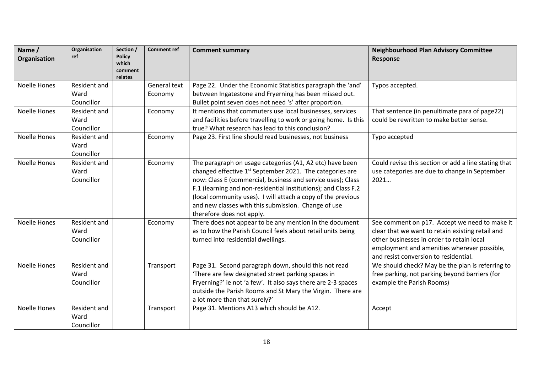| Name /<br>Organisation | Organisation<br>ref                | Section /<br><b>Policy</b><br>which<br>comment<br>relates | <b>Comment ref</b>      | <b>Comment summary</b>                                                                                                                                                                                                                                                                                                                                                                                                | <b>Neighbourhood Plan Advisory Committee</b><br><b>Response</b>                                                                                                                                                                        |
|------------------------|------------------------------------|-----------------------------------------------------------|-------------------------|-----------------------------------------------------------------------------------------------------------------------------------------------------------------------------------------------------------------------------------------------------------------------------------------------------------------------------------------------------------------------------------------------------------------------|----------------------------------------------------------------------------------------------------------------------------------------------------------------------------------------------------------------------------------------|
| Noelle Hones           | Resident and<br>Ward<br>Councillor |                                                           | General text<br>Economy | Page 22. Under the Economic Statistics paragraph the 'and'<br>between Ingatestone and Fryerning has been missed out.<br>Bullet point seven does not need 's' after proportion.                                                                                                                                                                                                                                        | Typos accepted.                                                                                                                                                                                                                        |
| Noelle Hones           | Resident and<br>Ward<br>Councillor |                                                           | Economy                 | It mentions that commuters use local businesses, services<br>and facilities before travelling to work or going home. Is this<br>true? What research has lead to this conclusion?                                                                                                                                                                                                                                      | That sentence (in penultimate para of page22)<br>could be rewritten to make better sense.                                                                                                                                              |
| <b>Noelle Hones</b>    | Resident and<br>Ward<br>Councillor |                                                           | Economy                 | Page 23. First line should read businesses, not business                                                                                                                                                                                                                                                                                                                                                              | Typo accepted                                                                                                                                                                                                                          |
| Noelle Hones           | Resident and<br>Ward<br>Councillor |                                                           | Economy                 | The paragraph on usage categories (A1, A2 etc) have been<br>changed effective 1 <sup>st</sup> September 2021. The categories are<br>now: Class E (commercial, business and service uses); Class<br>F.1 (learning and non-residential institutions); and Class F.2<br>(local community uses). I will attach a copy of the previous<br>and new classes with this submission. Change of use<br>therefore does not apply. | Could revise this section or add a line stating that<br>use categories are due to change in September<br>2021                                                                                                                          |
| <b>Noelle Hones</b>    | Resident and<br>Ward<br>Councillor |                                                           | Economy                 | There does not appear to be any mention in the document<br>as to how the Parish Council feels about retail units being<br>turned into residential dwellings.                                                                                                                                                                                                                                                          | See comment on p17. Accept we need to make it<br>clear that we want to retain existing retail and<br>other businesses in order to retain local<br>employment and amenities wherever possible,<br>and resist conversion to residential. |
| <b>Noelle Hones</b>    | Resident and<br>Ward<br>Councillor |                                                           | Transport               | Page 31. Second paragraph down, should this not read<br>'There are few designated street parking spaces in<br>Fryerning?' ie not 'a few'. It also says there are 2-3 spaces<br>outside the Parish Rooms and St Mary the Virgin. There are<br>a lot more than that surely?'                                                                                                                                            | We should check? May be the plan is referring to<br>free parking, not parking beyond barriers (for<br>example the Parish Rooms)                                                                                                        |
| <b>Noelle Hones</b>    | Resident and<br>Ward<br>Councillor |                                                           | Transport               | Page 31. Mentions A13 which should be A12.                                                                                                                                                                                                                                                                                                                                                                            | Accept                                                                                                                                                                                                                                 |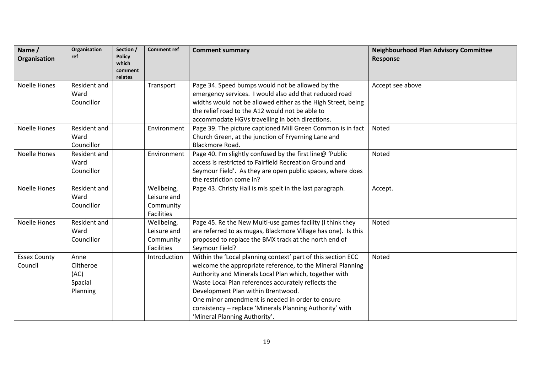| Name /<br>Organisation         | Organisation<br>ref                              | Section /<br><b>Policy</b><br>which<br>comment<br>relates | <b>Comment ref</b>                                          | <b>Comment summary</b>                                                                                                                                                                                                                                                                                                                                                                                                             | <b>Neighbourhood Plan Advisory Committee</b><br><b>Response</b> |
|--------------------------------|--------------------------------------------------|-----------------------------------------------------------|-------------------------------------------------------------|------------------------------------------------------------------------------------------------------------------------------------------------------------------------------------------------------------------------------------------------------------------------------------------------------------------------------------------------------------------------------------------------------------------------------------|-----------------------------------------------------------------|
| <b>Noelle Hones</b>            | Resident and<br>Ward<br>Councillor               |                                                           | Transport                                                   | Page 34. Speed bumps would not be allowed by the<br>emergency services. I would also add that reduced road<br>widths would not be allowed either as the High Street, being<br>the relief road to the A12 would not be able to<br>accommodate HGVs travelling in both directions.                                                                                                                                                   | Accept see above                                                |
| <b>Noelle Hones</b>            | Resident and<br>Ward<br>Councillor               |                                                           | Environment                                                 | Page 39. The picture captioned Mill Green Common is in fact<br>Church Green, at the junction of Fryerning Lane and<br>Blackmore Road.                                                                                                                                                                                                                                                                                              | Noted                                                           |
| Noelle Hones                   | Resident and<br>Ward<br>Councillor               |                                                           | Environment                                                 | Page 40. I'm slightly confused by the first line@ 'Public<br>access is restricted to Fairfield Recreation Ground and<br>Seymour Field'. As they are open public spaces, where does<br>the restriction come in?                                                                                                                                                                                                                     | Noted                                                           |
| <b>Noelle Hones</b>            | Resident and<br>Ward<br>Councillor               |                                                           | Wellbeing,<br>Leisure and<br>Community<br>Facilities        | Page 43. Christy Hall is mis spelt in the last paragraph.                                                                                                                                                                                                                                                                                                                                                                          | Accept.                                                         |
| Noelle Hones                   | Resident and<br>Ward<br>Councillor               |                                                           | Wellbeing,<br>Leisure and<br>Community<br><b>Facilities</b> | Page 45. Re the New Multi-use games facility (I think they<br>are referred to as mugas, Blackmore Village has one). Is this<br>proposed to replace the BMX track at the north end of<br>Seymour Field?                                                                                                                                                                                                                             | Noted                                                           |
| <b>Essex County</b><br>Council | Anne<br>Clitheroe<br>(AC)<br>Spacial<br>Planning |                                                           | Introduction                                                | Within the 'Local planning context' part of this section ECC<br>welcome the appropriate reference, to the Mineral Planning<br>Authority and Minerals Local Plan which, together with<br>Waste Local Plan references accurately reflects the<br>Development Plan within Brentwood.<br>One minor amendment is needed in order to ensure<br>consistency - replace 'Minerals Planning Authority' with<br>'Mineral Planning Authority'. | Noted                                                           |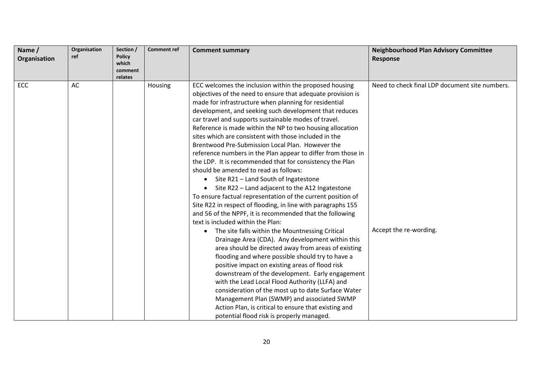| Name /<br>Organisation | Organisation<br>ref | Section /<br><b>Policy</b> | <b>Comment ref</b> | <b>Comment summary</b>                                       | <b>Neighbourhood Plan Advisory Committee</b><br>Response |
|------------------------|---------------------|----------------------------|--------------------|--------------------------------------------------------------|----------------------------------------------------------|
|                        |                     | which<br>comment           |                    |                                                              |                                                          |
|                        |                     | relates                    |                    |                                                              |                                                          |
| ECC                    | AC                  |                            | Housing            | ECC welcomes the inclusion within the proposed housing       | Need to check final LDP document site numbers.           |
|                        |                     |                            |                    | objectives of the need to ensure that adequate provision is  |                                                          |
|                        |                     |                            |                    | made for infrastructure when planning for residential        |                                                          |
|                        |                     |                            |                    | development, and seeking such development that reduces       |                                                          |
|                        |                     |                            |                    | car travel and supports sustainable modes of travel.         |                                                          |
|                        |                     |                            |                    | Reference is made within the NP to two housing allocation    |                                                          |
|                        |                     |                            |                    | sites which are consistent with those included in the        |                                                          |
|                        |                     |                            |                    | Brentwood Pre-Submission Local Plan. However the             |                                                          |
|                        |                     |                            |                    | reference numbers in the Plan appear to differ from those in |                                                          |
|                        |                     |                            |                    | the LDP. It is recommended that for consistency the Plan     |                                                          |
|                        |                     |                            |                    | should be amended to read as follows:                        |                                                          |
|                        |                     |                            |                    | Site R21 - Land South of Ingatestone<br>$\bullet$            |                                                          |
|                        |                     |                            |                    | Site R22 - Land adjacent to the A12 Ingatestone              |                                                          |
|                        |                     |                            |                    | To ensure factual representation of the current position of  |                                                          |
|                        |                     |                            |                    | Site R22 in respect of flooding, in line with paragraphs 155 |                                                          |
|                        |                     |                            |                    | and 56 of the NPPF, it is recommended that the following     |                                                          |
|                        |                     |                            |                    | text is included within the Plan:                            |                                                          |
|                        |                     |                            |                    | The site falls within the Mountnessing Critical<br>$\bullet$ | Accept the re-wording.                                   |
|                        |                     |                            |                    | Drainage Area (CDA). Any development within this             |                                                          |
|                        |                     |                            |                    | area should be directed away from areas of existing          |                                                          |
|                        |                     |                            |                    | flooding and where possible should try to have a             |                                                          |
|                        |                     |                            |                    | positive impact on existing areas of flood risk              |                                                          |
|                        |                     |                            |                    | downstream of the development. Early engagement              |                                                          |
|                        |                     |                            |                    | with the Lead Local Flood Authority (LLFA) and               |                                                          |
|                        |                     |                            |                    | consideration of the most up to date Surface Water           |                                                          |
|                        |                     |                            |                    | Management Plan (SWMP) and associated SWMP                   |                                                          |
|                        |                     |                            |                    | Action Plan, is critical to ensure that existing and         |                                                          |
|                        |                     |                            |                    | potential flood risk is properly managed.                    |                                                          |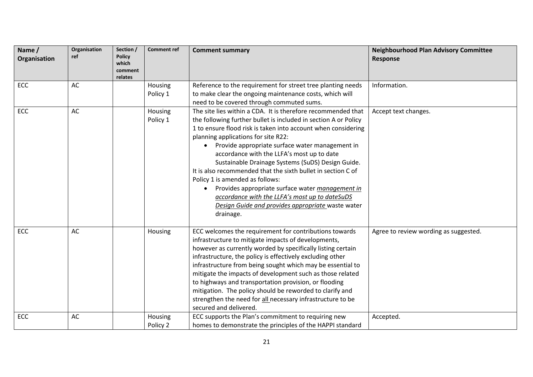| Name /<br>Organisation | Organisation<br>ref | Section /<br><b>Policy</b><br>which<br>comment<br>relates | <b>Comment ref</b>  | <b>Comment summary</b>                                                                                                                                                                                                                                                                                                                                                                                                                                                                                                                                                                                                                                                                             | <b>Neighbourhood Plan Advisory Committee</b><br>Response |
|------------------------|---------------------|-----------------------------------------------------------|---------------------|----------------------------------------------------------------------------------------------------------------------------------------------------------------------------------------------------------------------------------------------------------------------------------------------------------------------------------------------------------------------------------------------------------------------------------------------------------------------------------------------------------------------------------------------------------------------------------------------------------------------------------------------------------------------------------------------------|----------------------------------------------------------|
| ECC                    | AC                  |                                                           | Housing<br>Policy 1 | Reference to the requirement for street tree planting needs<br>to make clear the ongoing maintenance costs, which will<br>need to be covered through commuted sums.                                                                                                                                                                                                                                                                                                                                                                                                                                                                                                                                | Information.                                             |
| ECC                    | AC                  |                                                           | Housing<br>Policy 1 | The site lies within a CDA. It is therefore recommended that<br>the following further bullet is included in section A or Policy<br>1 to ensure flood risk is taken into account when considering<br>planning applications for site R22:<br>Provide appropriate surface water management in<br>$\bullet$<br>accordance with the LLFA's most up to date<br>Sustainable Drainage Systems (SuDS) Design Guide.<br>It is also recommended that the sixth bullet in section C of<br>Policy 1 is amended as follows:<br>Provides appropriate surface water management in<br>$\bullet$<br>accordance with the LLFA's most up to dateSuDS<br>Design Guide and provides appropriate waste water<br>drainage. | Accept text changes.                                     |
| ECC                    | AC                  |                                                           | Housing             | ECC welcomes the requirement for contributions towards<br>infrastructure to mitigate impacts of developments,<br>however as currently worded by specifically listing certain<br>infrastructure, the policy is effectively excluding other<br>infrastructure from being sought which may be essential to<br>mitigate the impacts of development such as those related<br>to highways and transportation provision, or flooding<br>mitigation. The policy should be reworded to clarify and<br>strengthen the need for all necessary infrastructure to be<br>secured and delivered.                                                                                                                  | Agree to review wording as suggested.                    |
| ECC                    | AC                  |                                                           | Housing<br>Policy 2 | ECC supports the Plan's commitment to requiring new<br>homes to demonstrate the principles of the HAPPI standard                                                                                                                                                                                                                                                                                                                                                                                                                                                                                                                                                                                   | Accepted.                                                |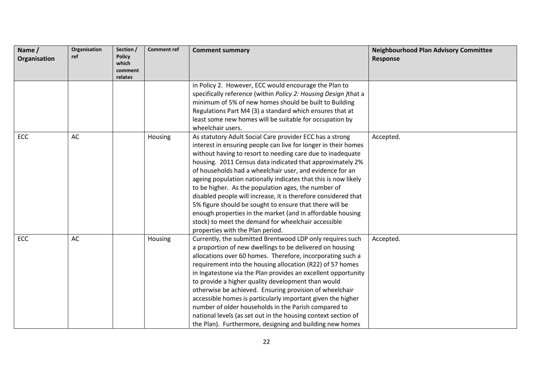| Name /<br>Organisation | Organisation<br>ref | Section /<br><b>Policy</b><br>which<br>comment<br>relates | <b>Comment ref</b> | <b>Comment summary</b>                                                                                                                                                                                                                                                                                                                                                                                                                                                                                                                                                                                                                                                                                                           | <b>Neighbourhood Plan Advisory Committee</b><br><b>Response</b> |
|------------------------|---------------------|-----------------------------------------------------------|--------------------|----------------------------------------------------------------------------------------------------------------------------------------------------------------------------------------------------------------------------------------------------------------------------------------------------------------------------------------------------------------------------------------------------------------------------------------------------------------------------------------------------------------------------------------------------------------------------------------------------------------------------------------------------------------------------------------------------------------------------------|-----------------------------------------------------------------|
|                        |                     |                                                           |                    | in Policy 2. However, ECC would encourage the Plan to<br>specifically reference (within Policy 2: Housing Design ) that a<br>minimum of 5% of new homes should be built to Building<br>Regulations Part M4 (3) a standard which ensures that at<br>least some new homes will be suitable for occupation by<br>wheelchair users.                                                                                                                                                                                                                                                                                                                                                                                                  |                                                                 |
| <b>ECC</b>             | AC                  |                                                           | Housing            | As statutory Adult Social Care provider ECC has a strong<br>interest in ensuring people can live for longer in their homes<br>without having to resort to needing care due to inadequate<br>housing. 2011 Census data indicated that approximately 2%<br>of households had a wheelchair user, and evidence for an<br>ageing population nationally indicates that this is now likely<br>to be higher. As the population ages, the number of<br>disabled people will increase, it is therefore considered that<br>5% figure should be sought to ensure that there will be<br>enough properties in the market (and in affordable housing<br>stock) to meet the demand for wheelchair accessible<br>properties with the Plan period. | Accepted.                                                       |
| ECC                    | AC                  |                                                           | Housing            | Currently, the submitted Brentwood LDP only requires such<br>a proportion of new dwellings to be delivered on housing<br>allocations over 60 homes. Therefore, incorporating such a<br>requirement into the housing allocation (R22) of 57 homes<br>in Ingatestone via the Plan provides an excellent opportunity<br>to provide a higher quality development than would<br>otherwise be achieved. Ensuring provision of wheelchair<br>accessible homes is particularly important given the higher<br>number of older households in the Parish compared to<br>national levels (as set out in the housing context section of<br>the Plan). Furthermore, designing and building new homes                                           | Accepted.                                                       |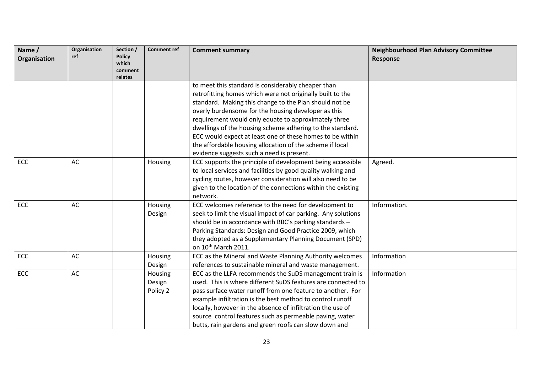| Name /<br>Organisation | Organisation<br>ref | Section /<br><b>Policy</b><br>which<br>comment<br>relates | <b>Comment ref</b>            | <b>Comment summary</b>                                                                                                                                                                                                                                                                                                                                                                                                                                                                                                      | <b>Neighbourhood Plan Advisory Committee</b><br><b>Response</b> |
|------------------------|---------------------|-----------------------------------------------------------|-------------------------------|-----------------------------------------------------------------------------------------------------------------------------------------------------------------------------------------------------------------------------------------------------------------------------------------------------------------------------------------------------------------------------------------------------------------------------------------------------------------------------------------------------------------------------|-----------------------------------------------------------------|
|                        |                     |                                                           |                               | to meet this standard is considerably cheaper than<br>retrofitting homes which were not originally built to the<br>standard. Making this change to the Plan should not be<br>overly burdensome for the housing developer as this<br>requirement would only equate to approximately three<br>dwellings of the housing scheme adhering to the standard.<br>ECC would expect at least one of these homes to be within<br>the affordable housing allocation of the scheme if local<br>evidence suggests such a need is present. |                                                                 |
| ECC                    | AC                  |                                                           | Housing                       | ECC supports the principle of development being accessible<br>to local services and facilities by good quality walking and<br>cycling routes, however consideration will also need to be<br>given to the location of the connections within the existing<br>network.                                                                                                                                                                                                                                                        | Agreed.                                                         |
| ECC                    | AC                  |                                                           | Housing<br>Design             | ECC welcomes reference to the need for development to<br>seek to limit the visual impact of car parking. Any solutions<br>should be in accordance with BBC's parking standards -<br>Parking Standards: Design and Good Practice 2009, which<br>they adopted as a Supplementary Planning Document (SPD)<br>on 10th March 2011.                                                                                                                                                                                               | Information.                                                    |
| <b>ECC</b>             | AC                  |                                                           | Housing<br>Design             | ECC as the Mineral and Waste Planning Authority welcomes<br>references to sustainable mineral and waste management.                                                                                                                                                                                                                                                                                                                                                                                                         | Information                                                     |
| <b>ECC</b>             | AC                  |                                                           | Housing<br>Design<br>Policy 2 | ECC as the LLFA recommends the SuDS management train is<br>used. This is where different SuDS features are connected to<br>pass surface water runoff from one feature to another. For<br>example infiltration is the best method to control runoff<br>locally, however in the absence of infiltration the use of<br>source control features such as permeable paving, water<br>butts, rain gardens and green roofs can slow down and                                                                                        | Information                                                     |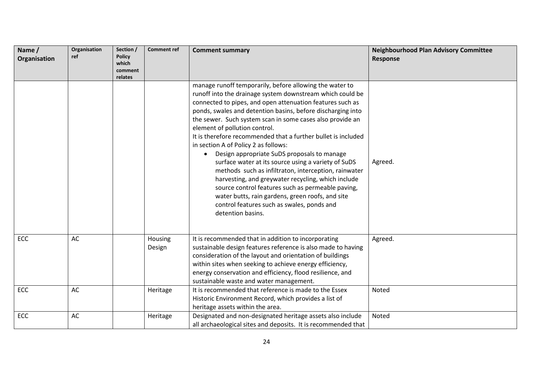| Name /       | Organisation | Section /              | <b>Comment ref</b> | <b>Comment summary</b>                                                                         | <b>Neighbourhood Plan Advisory Committee</b> |
|--------------|--------------|------------------------|--------------------|------------------------------------------------------------------------------------------------|----------------------------------------------|
| Organisation | ref          | <b>Policy</b><br>which |                    |                                                                                                | <b>Response</b>                              |
|              |              | comment                |                    |                                                                                                |                                              |
|              |              | relates                |                    |                                                                                                |                                              |
|              |              |                        |                    | manage runoff temporarily, before allowing the water to                                        |                                              |
|              |              |                        |                    | runoff into the drainage system downstream which could be                                      |                                              |
|              |              |                        |                    | connected to pipes, and open attenuation features such as                                      |                                              |
|              |              |                        |                    | ponds, swales and detention basins, before discharging into                                    |                                              |
|              |              |                        |                    | the sewer. Such system scan in some cases also provide an                                      |                                              |
|              |              |                        |                    | element of pollution control.<br>It is therefore recommended that a further bullet is included |                                              |
|              |              |                        |                    | in section A of Policy 2 as follows:                                                           |                                              |
|              |              |                        |                    | Design appropriate SuDS proposals to manage<br>$\bullet$                                       |                                              |
|              |              |                        |                    | surface water at its source using a variety of SuDS                                            | Agreed.                                      |
|              |              |                        |                    | methods such as infiltraton, interception, rainwater                                           |                                              |
|              |              |                        |                    | harvesting, and greywater recycling, which include                                             |                                              |
|              |              |                        |                    | source control features such as permeable paving,                                              |                                              |
|              |              |                        |                    | water butts, rain gardens, green roofs, and site                                               |                                              |
|              |              |                        |                    | control features such as swales, ponds and                                                     |                                              |
|              |              |                        |                    | detention basins.                                                                              |                                              |
|              |              |                        |                    |                                                                                                |                                              |
|              |              |                        |                    |                                                                                                |                                              |
| ECC          | AC           |                        | Housing            | It is recommended that in addition to incorporating                                            | Agreed.                                      |
|              |              |                        | Design             | sustainable design features reference is also made to having                                   |                                              |
|              |              |                        |                    | consideration of the layout and orientation of buildings                                       |                                              |
|              |              |                        |                    | within sites when seeking to achieve energy efficiency,                                        |                                              |
|              |              |                        |                    | energy conservation and efficiency, flood resilience, and                                      |                                              |
|              |              |                        |                    | sustainable waste and water management.                                                        |                                              |
| ECC          | AC           |                        | Heritage           | It is recommended that reference is made to the Essex                                          | Noted                                        |
|              |              |                        |                    | Historic Environment Record, which provides a list of                                          |                                              |
|              |              |                        |                    | heritage assets within the area.                                                               |                                              |
| ECC          | AC           |                        | Heritage           | Designated and non-designated heritage assets also include                                     | Noted                                        |
|              |              |                        |                    | all archaeological sites and deposits. It is recommended that                                  |                                              |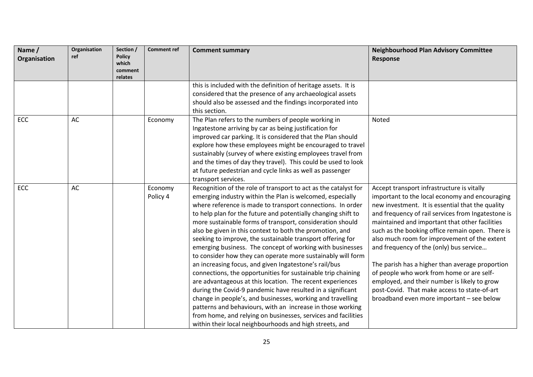| Name /<br>Organisation | Organisation<br>ref | Section /<br><b>Policy</b><br>which<br>comment<br>relates | <b>Comment ref</b>  | <b>Comment summary</b>                                                                                                                                                                                                                                                                                                                                                                                                                                                                                                                                                                                                                                                                                                                                                                                                                                                                                                                                                                                                                                                                     | <b>Neighbourhood Plan Advisory Committee</b><br><b>Response</b>                                                                                                                                                                                                                                                                                                                                                                                                                                                                                                                                                                                      |
|------------------------|---------------------|-----------------------------------------------------------|---------------------|--------------------------------------------------------------------------------------------------------------------------------------------------------------------------------------------------------------------------------------------------------------------------------------------------------------------------------------------------------------------------------------------------------------------------------------------------------------------------------------------------------------------------------------------------------------------------------------------------------------------------------------------------------------------------------------------------------------------------------------------------------------------------------------------------------------------------------------------------------------------------------------------------------------------------------------------------------------------------------------------------------------------------------------------------------------------------------------------|------------------------------------------------------------------------------------------------------------------------------------------------------------------------------------------------------------------------------------------------------------------------------------------------------------------------------------------------------------------------------------------------------------------------------------------------------------------------------------------------------------------------------------------------------------------------------------------------------------------------------------------------------|
|                        |                     |                                                           |                     | this is included with the definition of heritage assets. It is<br>considered that the presence of any archaeological assets<br>should also be assessed and the findings incorporated into<br>this section.                                                                                                                                                                                                                                                                                                                                                                                                                                                                                                                                                                                                                                                                                                                                                                                                                                                                                 |                                                                                                                                                                                                                                                                                                                                                                                                                                                                                                                                                                                                                                                      |
| ECC                    | AC                  |                                                           | Economy             | The Plan refers to the numbers of people working in<br>Ingatestone arriving by car as being justification for<br>improved car parking. It is considered that the Plan should<br>explore how these employees might be encouraged to travel<br>sustainably (survey of where existing employees travel from<br>and the times of day they travel). This could be used to look<br>at future pedestrian and cycle links as well as passenger<br>transport services.                                                                                                                                                                                                                                                                                                                                                                                                                                                                                                                                                                                                                              | Noted                                                                                                                                                                                                                                                                                                                                                                                                                                                                                                                                                                                                                                                |
| ECC                    | AC                  |                                                           | Economy<br>Policy 4 | Recognition of the role of transport to act as the catalyst for<br>emerging industry within the Plan is welcomed, especially<br>where reference is made to transport connections. In order<br>to help plan for the future and potentially changing shift to<br>more sustainable forms of transport, consideration should<br>also be given in this context to both the promotion, and<br>seeking to improve, the sustainable transport offering for<br>emerging business. The concept of working with businesses<br>to consider how they can operate more sustainably will form<br>an increasing focus, and given Ingatestone's rail/bus<br>connections, the opportunities for sustainable trip chaining<br>are advantageous at this location. The recent experiences<br>during the Covid-9 pandemic have resulted in a significant<br>change in people's, and businesses, working and travelling<br>patterns and behaviours, with an increase in those working<br>from home, and relying on businesses, services and facilities<br>within their local neighbourhoods and high streets, and | Accept transport infrastructure is vitally<br>important to the local economy and encouraging<br>new investment. It is essential that the quality<br>and frequency of rail services from Ingatestone is<br>maintained and important that other facilities<br>such as the booking office remain open. There is<br>also much room for improvement of the extent<br>and frequency of the (only) bus service<br>The parish has a higher than average proportion<br>of people who work from home or are self-<br>employed, and their number is likely to grow<br>post-Covid. That make access to state-of-art<br>broadband even more important - see below |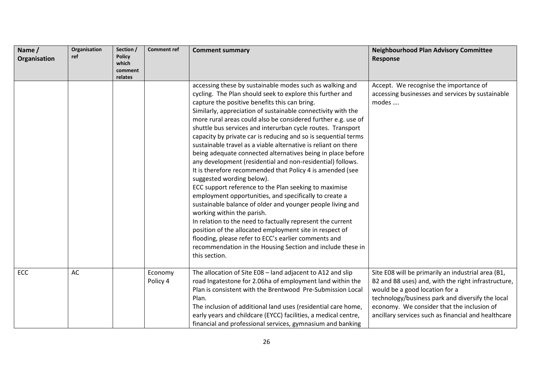| Name /<br>Organisation | Organisation<br>ref | Section /<br><b>Policy</b><br>which<br>comment<br>relates | <b>Comment ref</b>  | <b>Comment summary</b>                                                                                                                                                                                                                                                                                                                                                                                                                                                                                                                                                                                                                                                                                                                                                                                                                                                                                                                                                                                                                                                                                                                                                                                           | <b>Neighbourhood Plan Advisory Committee</b><br><b>Response</b>                                                                                                                                                                                                                                      |
|------------------------|---------------------|-----------------------------------------------------------|---------------------|------------------------------------------------------------------------------------------------------------------------------------------------------------------------------------------------------------------------------------------------------------------------------------------------------------------------------------------------------------------------------------------------------------------------------------------------------------------------------------------------------------------------------------------------------------------------------------------------------------------------------------------------------------------------------------------------------------------------------------------------------------------------------------------------------------------------------------------------------------------------------------------------------------------------------------------------------------------------------------------------------------------------------------------------------------------------------------------------------------------------------------------------------------------------------------------------------------------|------------------------------------------------------------------------------------------------------------------------------------------------------------------------------------------------------------------------------------------------------------------------------------------------------|
|                        |                     |                                                           |                     | accessing these by sustainable modes such as walking and<br>cycling. The Plan should seek to explore this further and<br>capture the positive benefits this can bring.<br>Similarly, appreciation of sustainable connectivity with the<br>more rural areas could also be considered further e.g. use of<br>shuttle bus services and interurban cycle routes. Transport<br>capacity by private car is reducing and so is sequential terms<br>sustainable travel as a viable alternative is reliant on there<br>being adequate connected alternatives being in place before<br>any development (residential and non-residential) follows.<br>It is therefore recommended that Policy 4 is amended (see<br>suggested wording below).<br>ECC support reference to the Plan seeking to maximise<br>employment opportunities, and specifically to create a<br>sustainable balance of older and younger people living and<br>working within the parish.<br>In relation to the need to factually represent the current<br>position of the allocated employment site in respect of<br>flooding, please refer to ECC's earlier comments and<br>recommendation in the Housing Section and include these in<br>this section. | Accept. We recognise the importance of<br>accessing businesses and services by sustainable<br>modes                                                                                                                                                                                                  |
| ECC                    | AC                  |                                                           | Economy<br>Policy 4 | The allocation of Site E08 - land adjacent to A12 and slip<br>road Ingatestone for 2.06ha of employment land within the<br>Plan is consistent with the Brentwood Pre-Submission Local<br>Plan.<br>The inclusion of additional land uses (residential care home,<br>early years and childcare (EYCC) facilities, a medical centre,<br>financial and professional services, gymnasium and banking                                                                                                                                                                                                                                                                                                                                                                                                                                                                                                                                                                                                                                                                                                                                                                                                                  | Site E08 will be primarily an industrial area (B1,<br>B2 and B8 uses) and, with the right infrastructure,<br>would be a good location for a<br>technology/business park and diversify the local<br>economy. We consider that the inclusion of<br>ancillary services such as financial and healthcare |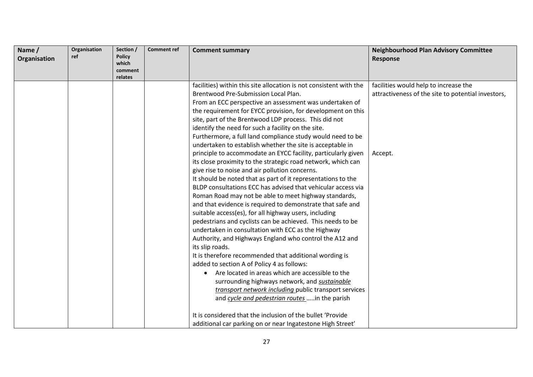| Name /<br>Organisation | Organisation<br>ref | Section /<br><b>Policy</b><br>which<br>comment<br>relates | <b>Comment ref</b> | <b>Comment summary</b>                                                                                                                                                                                                                                                                                                                                                                                                                                                                                                                                                                                                                                                                                                                                                                                                                                                                                                                                                                                                                                                                                                                                                                                                                        | <b>Neighbourhood Plan Advisory Committee</b><br>Response                                               |
|------------------------|---------------------|-----------------------------------------------------------|--------------------|-----------------------------------------------------------------------------------------------------------------------------------------------------------------------------------------------------------------------------------------------------------------------------------------------------------------------------------------------------------------------------------------------------------------------------------------------------------------------------------------------------------------------------------------------------------------------------------------------------------------------------------------------------------------------------------------------------------------------------------------------------------------------------------------------------------------------------------------------------------------------------------------------------------------------------------------------------------------------------------------------------------------------------------------------------------------------------------------------------------------------------------------------------------------------------------------------------------------------------------------------|--------------------------------------------------------------------------------------------------------|
|                        |                     |                                                           |                    | facilities) within this site allocation is not consistent with the<br>Brentwood Pre-Submission Local Plan.<br>From an ECC perspective an assessment was undertaken of<br>the requirement for EYCC provision, for development on this<br>site, part of the Brentwood LDP process. This did not<br>identify the need for such a facility on the site.<br>Furthermore, a full land compliance study would need to be<br>undertaken to establish whether the site is acceptable in<br>principle to accommodate an EYCC facility, particularly given<br>its close proximity to the strategic road network, which can<br>give rise to noise and air pollution concerns.<br>It should be noted that as part of it representations to the<br>BLDP consultations ECC has advised that vehicular access via<br>Roman Road may not be able to meet highway standards,<br>and that evidence is required to demonstrate that safe and<br>suitable access(es), for all highway users, including<br>pedestrians and cyclists can be achieved. This needs to be<br>undertaken in consultation with ECC as the Highway<br>Authority, and Highways England who control the A12 and<br>its slip roads.<br>It is therefore recommended that additional wording is | facilities would help to increase the<br>attractiveness of the site to potential investors,<br>Accept. |
|                        |                     |                                                           |                    | added to section A of Policy 4 as follows:<br>Are located in areas which are accessible to the<br>$\bullet$<br>surrounding highways network, and sustainable<br>transport network including public transport services<br>and cycle and pedestrian routes in the parish<br>It is considered that the inclusion of the bullet 'Provide<br>additional car parking on or near Ingatestone High Street'                                                                                                                                                                                                                                                                                                                                                                                                                                                                                                                                                                                                                                                                                                                                                                                                                                            |                                                                                                        |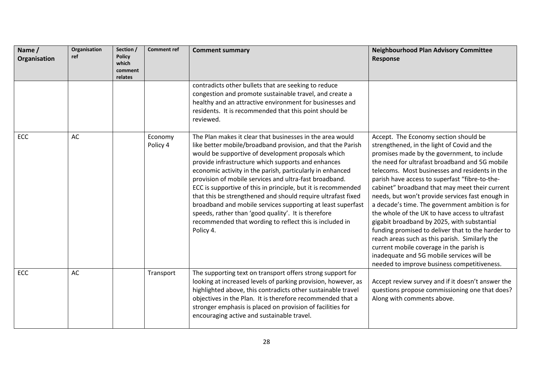| Name /<br>Organisation | Organisation<br>ref | Section /<br><b>Policy</b><br>which<br>comment<br>relates | <b>Comment ref</b>  | <b>Comment summary</b>                                                                                                                                                                                                                                                                                                                                                                                                                                                                                                                                                                                                                                                                     | <b>Neighbourhood Plan Advisory Committee</b><br>Response                                                                                                                                                                                                                                                                                                                                                                                                                                                                                                                                                                                                                                                                                                                                            |
|------------------------|---------------------|-----------------------------------------------------------|---------------------|--------------------------------------------------------------------------------------------------------------------------------------------------------------------------------------------------------------------------------------------------------------------------------------------------------------------------------------------------------------------------------------------------------------------------------------------------------------------------------------------------------------------------------------------------------------------------------------------------------------------------------------------------------------------------------------------|-----------------------------------------------------------------------------------------------------------------------------------------------------------------------------------------------------------------------------------------------------------------------------------------------------------------------------------------------------------------------------------------------------------------------------------------------------------------------------------------------------------------------------------------------------------------------------------------------------------------------------------------------------------------------------------------------------------------------------------------------------------------------------------------------------|
|                        |                     |                                                           |                     | contradicts other bullets that are seeking to reduce<br>congestion and promote sustainable travel, and create a<br>healthy and an attractive environment for businesses and<br>residents. It is recommended that this point should be<br>reviewed.                                                                                                                                                                                                                                                                                                                                                                                                                                         |                                                                                                                                                                                                                                                                                                                                                                                                                                                                                                                                                                                                                                                                                                                                                                                                     |
| ECC                    | AC                  |                                                           | Economy<br>Policy 4 | The Plan makes it clear that businesses in the area would<br>like better mobile/broadband provision, and that the Parish<br>would be supportive of development proposals which<br>provide infrastructure which supports and enhances<br>economic activity in the parish, particularly in enhanced<br>provision of mobile services and ultra-fast broadband.<br>ECC is supportive of this in principle, but it is recommended<br>that this be strengthened and should require ultrafast fixed<br>broadband and mobile services supporting at least superfast<br>speeds, rather than 'good quality'. It is therefore<br>recommended that wording to reflect this is included in<br>Policy 4. | Accept. The Economy section should be<br>strengthened, in the light of Covid and the<br>promises made by the government, to include<br>the need for ultrafast broadband and 5G mobile<br>telecoms. Most businesses and residents in the<br>parish have access to superfast "fibre-to-the-<br>cabinet" broadband that may meet their current<br>needs, but won't provide services fast enough in<br>a decade's time. The government ambition is for<br>the whole of the UK to have access to ultrafast<br>gigabit broadband by 2025, with substantial<br>funding promised to deliver that to the harder to<br>reach areas such as this parish. Similarly the<br>current mobile coverage in the parish is<br>inadequate and 5G mobile services will be<br>needed to improve business competitiveness. |
| ECC                    | AC                  |                                                           | Transport           | The supporting text on transport offers strong support for<br>looking at increased levels of parking provision, however, as<br>highlighted above, this contradicts other sustainable travel<br>objectives in the Plan. It is therefore recommended that a<br>stronger emphasis is placed on provision of facilities for<br>encouraging active and sustainable travel.                                                                                                                                                                                                                                                                                                                      | Accept review survey and if it doesn't answer the<br>questions propose commissioning one that does?<br>Along with comments above.                                                                                                                                                                                                                                                                                                                                                                                                                                                                                                                                                                                                                                                                   |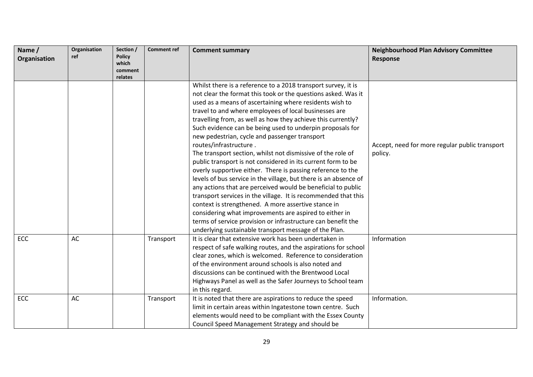| Name /<br>Organisation | Organisation<br>ref | Section /<br><b>Policy</b> | <b>Comment ref</b> | <b>Comment summary</b>                                           | <b>Neighbourhood Plan Advisory Committee</b><br><b>Response</b> |
|------------------------|---------------------|----------------------------|--------------------|------------------------------------------------------------------|-----------------------------------------------------------------|
|                        |                     | which<br>comment           |                    |                                                                  |                                                                 |
|                        |                     | relates                    |                    |                                                                  |                                                                 |
|                        |                     |                            |                    | Whilst there is a reference to a 2018 transport survey, it is    |                                                                 |
|                        |                     |                            |                    | not clear the format this took or the questions asked. Was it    |                                                                 |
|                        |                     |                            |                    | used as a means of ascertaining where residents wish to          |                                                                 |
|                        |                     |                            |                    | travel to and where employees of local businesses are            |                                                                 |
|                        |                     |                            |                    | travelling from, as well as how they achieve this currently?     |                                                                 |
|                        |                     |                            |                    | Such evidence can be being used to underpin proposals for        |                                                                 |
|                        |                     |                            |                    | new pedestrian, cycle and passenger transport                    |                                                                 |
|                        |                     |                            |                    | routes/infrastructure.                                           | Accept, need for more regular public transport                  |
|                        |                     |                            |                    | The transport section, whilst not dismissive of the role of      | policy.                                                         |
|                        |                     |                            |                    | public transport is not considered in its current form to be     |                                                                 |
|                        |                     |                            |                    | overly supportive either. There is passing reference to the      |                                                                 |
|                        |                     |                            |                    | levels of bus service in the village, but there is an absence of |                                                                 |
|                        |                     |                            |                    | any actions that are perceived would be beneficial to public     |                                                                 |
|                        |                     |                            |                    | transport services in the village. It is recommended that this   |                                                                 |
|                        |                     |                            |                    | context is strengthened. A more assertive stance in              |                                                                 |
|                        |                     |                            |                    | considering what improvements are aspired to either in           |                                                                 |
|                        |                     |                            |                    | terms of service provision or infrastructure can benefit the     |                                                                 |
|                        |                     |                            |                    | underlying sustainable transport message of the Plan.            |                                                                 |
| ECC                    | AC                  |                            | Transport          | It is clear that extensive work has been undertaken in           | Information                                                     |
|                        |                     |                            |                    | respect of safe walking routes, and the aspirations for school   |                                                                 |
|                        |                     |                            |                    | clear zones, which is welcomed. Reference to consideration       |                                                                 |
|                        |                     |                            |                    | of the environment around schools is also noted and              |                                                                 |
|                        |                     |                            |                    | discussions can be continued with the Brentwood Local            |                                                                 |
|                        |                     |                            |                    | Highways Panel as well as the Safer Journeys to School team      |                                                                 |
|                        |                     |                            |                    | in this regard.                                                  |                                                                 |
| ECC                    | AC                  |                            | Transport          | It is noted that there are aspirations to reduce the speed       | Information.                                                    |
|                        |                     |                            |                    | limit in certain areas within Ingatestone town centre. Such      |                                                                 |
|                        |                     |                            |                    | elements would need to be compliant with the Essex County        |                                                                 |
|                        |                     |                            |                    | Council Speed Management Strategy and should be                  |                                                                 |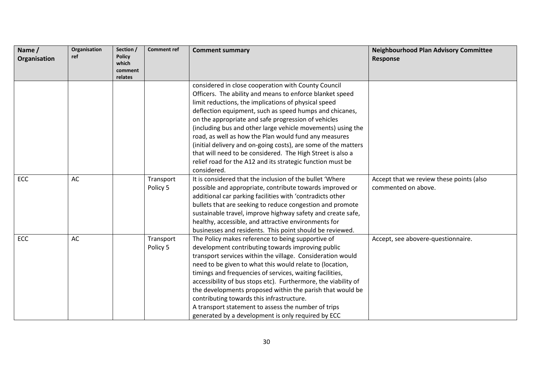| Name /       | Organisation<br>ref | Section /              | <b>Comment ref</b> | <b>Comment summary</b>                                         | <b>Neighbourhood Plan Advisory Committee</b> |
|--------------|---------------------|------------------------|--------------------|----------------------------------------------------------------|----------------------------------------------|
| Organisation |                     | <b>Policy</b><br>which |                    |                                                                | <b>Response</b>                              |
|              |                     | comment                |                    |                                                                |                                              |
|              |                     | relates                |                    |                                                                |                                              |
|              |                     |                        |                    | considered in close cooperation with County Council            |                                              |
|              |                     |                        |                    | Officers. The ability and means to enforce blanket speed       |                                              |
|              |                     |                        |                    | limit reductions, the implications of physical speed           |                                              |
|              |                     |                        |                    | deflection equipment, such as speed humps and chicanes,        |                                              |
|              |                     |                        |                    | on the appropriate and safe progression of vehicles            |                                              |
|              |                     |                        |                    | (including bus and other large vehicle movements) using the    |                                              |
|              |                     |                        |                    | road, as well as how the Plan would fund any measures          |                                              |
|              |                     |                        |                    | (initial delivery and on-going costs), are some of the matters |                                              |
|              |                     |                        |                    | that will need to be considered. The High Street is also a     |                                              |
|              |                     |                        |                    | relief road for the A12 and its strategic function must be     |                                              |
|              |                     |                        |                    | considered.                                                    |                                              |
| ECC          | AC                  |                        | Transport          | It is considered that the inclusion of the bullet 'Where       | Accept that we review these points (also     |
|              |                     |                        | Policy 5           | possible and appropriate, contribute towards improved or       | commented on above.                          |
|              |                     |                        |                    | additional car parking facilities with 'contradicts other      |                                              |
|              |                     |                        |                    | bullets that are seeking to reduce congestion and promote      |                                              |
|              |                     |                        |                    | sustainable travel, improve highway safety and create safe,    |                                              |
|              |                     |                        |                    | healthy, accessible, and attractive environments for           |                                              |
|              |                     |                        |                    | businesses and residents. This point should be reviewed.       |                                              |
| ECC          | AC                  |                        | Transport          | The Policy makes reference to being supportive of              | Accept, see abovere-questionnaire.           |
|              |                     |                        | Policy 5           | development contributing towards improving public              |                                              |
|              |                     |                        |                    | transport services within the village. Consideration would     |                                              |
|              |                     |                        |                    | need to be given to what this would relate to (location,       |                                              |
|              |                     |                        |                    | timings and frequencies of services, waiting facilities,       |                                              |
|              |                     |                        |                    | accessibility of bus stops etc). Furthermore, the viability of |                                              |
|              |                     |                        |                    | the developments proposed within the parish that would be      |                                              |
|              |                     |                        |                    | contributing towards this infrastructure.                      |                                              |
|              |                     |                        |                    | A transport statement to assess the number of trips            |                                              |
|              |                     |                        |                    | generated by a development is only required by ECC             |                                              |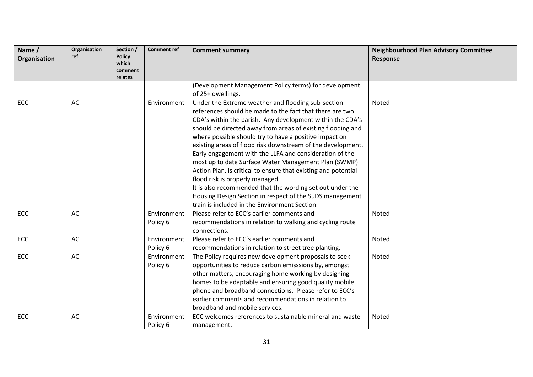| Name /<br>Organisation | Organisation<br>ref | Section /<br><b>Policy</b><br>which<br>comment<br>relates | <b>Comment ref</b> | <b>Comment summary</b>                                                                                                 | <b>Neighbourhood Plan Advisory Committee</b><br>Response |
|------------------------|---------------------|-----------------------------------------------------------|--------------------|------------------------------------------------------------------------------------------------------------------------|----------------------------------------------------------|
|                        |                     |                                                           |                    | (Development Management Policy terms) for development<br>of 25+ dwellings.                                             |                                                          |
| ECC                    | AC                  |                                                           | Environment        | Under the Extreme weather and flooding sub-section                                                                     | Noted                                                    |
|                        |                     |                                                           |                    | references should be made to the fact that there are two                                                               |                                                          |
|                        |                     |                                                           |                    |                                                                                                                        |                                                          |
|                        |                     |                                                           |                    | CDA's within the parish. Any development within the CDA's                                                              |                                                          |
|                        |                     |                                                           |                    | should be directed away from areas of existing flooding and                                                            |                                                          |
|                        |                     |                                                           |                    | where possible should try to have a positive impact on<br>existing areas of flood risk downstream of the development.  |                                                          |
|                        |                     |                                                           |                    | Early engagement with the LLFA and consideration of the                                                                |                                                          |
|                        |                     |                                                           |                    |                                                                                                                        |                                                          |
|                        |                     |                                                           |                    | most up to date Surface Water Management Plan (SWMP)<br>Action Plan, is critical to ensure that existing and potential |                                                          |
|                        |                     |                                                           |                    | flood risk is properly managed.                                                                                        |                                                          |
|                        |                     |                                                           |                    | It is also recommended that the wording set out under the                                                              |                                                          |
|                        |                     |                                                           |                    | Housing Design Section in respect of the SuDS management                                                               |                                                          |
|                        |                     |                                                           |                    | train is included in the Environment Section.                                                                          |                                                          |
| <b>ECC</b>             | AC                  |                                                           | Environment        | Please refer to ECC's earlier comments and                                                                             | Noted                                                    |
|                        |                     |                                                           | Policy 6           | recommendations in relation to walking and cycling route                                                               |                                                          |
|                        |                     |                                                           |                    | connections.                                                                                                           |                                                          |
| ECC                    | AC                  |                                                           | Environment        | Please refer to ECC's earlier comments and                                                                             | Noted                                                    |
|                        |                     |                                                           | Policy 6           |                                                                                                                        |                                                          |
| ECC                    | AC                  |                                                           | Environment        | recommendations in relation to street tree planting.                                                                   | Noted                                                    |
|                        |                     |                                                           |                    | The Policy requires new development proposals to seek                                                                  |                                                          |
|                        |                     |                                                           | Policy 6           | opportunities to reduce carbon emisssions by, amongst                                                                  |                                                          |
|                        |                     |                                                           |                    | other matters, encouraging home working by designing                                                                   |                                                          |
|                        |                     |                                                           |                    | homes to be adaptable and ensuring good quality mobile                                                                 |                                                          |
|                        |                     |                                                           |                    | phone and broadband connections. Please refer to ECC's<br>earlier comments and recommendations in relation to          |                                                          |
|                        |                     |                                                           |                    |                                                                                                                        |                                                          |
|                        |                     |                                                           |                    | broadband and mobile services.                                                                                         |                                                          |
| <b>ECC</b>             | AC                  |                                                           | Environment        | ECC welcomes references to sustainable mineral and waste                                                               | Noted                                                    |
|                        |                     |                                                           | Policy 6           | management.                                                                                                            |                                                          |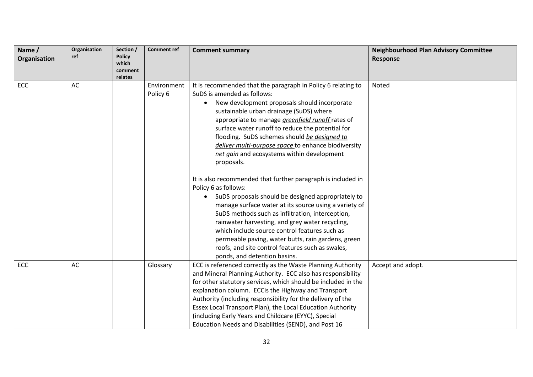| Name/<br>Organisation | Organisation<br>ref | Section /<br><b>Policy</b><br>which<br>comment<br>relates | <b>Comment ref</b>      | <b>Comment summary</b>                                                                                                                                                                                                                                                                                                                                                                                                                                                                                                                                                                                                                                                                                                                                                                                                                                                                                                                                                                         | <b>Neighbourhood Plan Advisory Committee</b><br><b>Response</b> |
|-----------------------|---------------------|-----------------------------------------------------------|-------------------------|------------------------------------------------------------------------------------------------------------------------------------------------------------------------------------------------------------------------------------------------------------------------------------------------------------------------------------------------------------------------------------------------------------------------------------------------------------------------------------------------------------------------------------------------------------------------------------------------------------------------------------------------------------------------------------------------------------------------------------------------------------------------------------------------------------------------------------------------------------------------------------------------------------------------------------------------------------------------------------------------|-----------------------------------------------------------------|
| ECC                   | AC                  |                                                           | Environment<br>Policy 6 | It is recommended that the paragraph in Policy 6 relating to<br>SuDS is amended as follows:<br>New development proposals should incorporate<br>sustainable urban drainage (SuDS) where<br>appropriate to manage <i>greenfield runoff</i> rates of<br>surface water runoff to reduce the potential for<br>flooding. SuDS schemes should be designed to<br>deliver multi-purpose space to enhance biodiversity<br>net gain and ecosystems within development<br>proposals.<br>It is also recommended that further paragraph is included in<br>Policy 6 as follows:<br>SuDS proposals should be designed appropriately to<br>$\bullet$<br>manage surface water at its source using a variety of<br>SuDS methods such as infiltration, interception,<br>rainwater harvesting, and grey water recycling,<br>which include source control features such as<br>permeable paving, water butts, rain gardens, green<br>roofs, and site control features such as swales,<br>ponds, and detention basins. | Noted                                                           |
| ECC                   | AC                  |                                                           | Glossary                | ECC is referenced correctly as the Waste Planning Authority<br>and Mineral Planning Authority. ECC also has responsibility<br>for other statutory services, which should be included in the<br>explanation column. ECCis the Highway and Transport<br>Authority (including responsibility for the delivery of the<br>Essex Local Transport Plan), the Local Education Authority<br>(including Early Years and Childcare (EYYC), Special<br>Education Needs and Disabilities (SEND), and Post 16                                                                                                                                                                                                                                                                                                                                                                                                                                                                                                | Accept and adopt.                                               |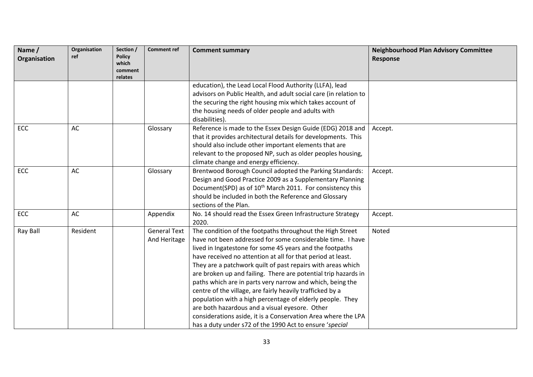| Name /<br>Organisation | Organisation<br>ref | Section /<br><b>Policy</b>  | <b>Comment ref</b>                  | <b>Comment summary</b>                                                                                                                                                                                                                                                                                                                                                                                                                                                                                                                                                                                                                                                                                                                                   | <b>Neighbourhood Plan Advisory Committee</b><br><b>Response</b> |
|------------------------|---------------------|-----------------------------|-------------------------------------|----------------------------------------------------------------------------------------------------------------------------------------------------------------------------------------------------------------------------------------------------------------------------------------------------------------------------------------------------------------------------------------------------------------------------------------------------------------------------------------------------------------------------------------------------------------------------------------------------------------------------------------------------------------------------------------------------------------------------------------------------------|-----------------------------------------------------------------|
|                        |                     | which<br>comment<br>relates |                                     |                                                                                                                                                                                                                                                                                                                                                                                                                                                                                                                                                                                                                                                                                                                                                          |                                                                 |
|                        |                     |                             |                                     | education), the Lead Local Flood Authority (LLFA), lead<br>advisors on Public Health, and adult social care (in relation to<br>the securing the right housing mix which takes account of<br>the housing needs of older people and adults with<br>disabilities).                                                                                                                                                                                                                                                                                                                                                                                                                                                                                          |                                                                 |
| ECC                    | AC                  |                             | Glossary                            | Reference is made to the Essex Design Guide (EDG) 2018 and<br>that it provides architectural details for developments. This<br>should also include other important elements that are<br>relevant to the proposed NP, such as older peoples housing,<br>climate change and energy efficiency.                                                                                                                                                                                                                                                                                                                                                                                                                                                             | Accept.                                                         |
| <b>ECC</b>             | AC                  |                             | Glossary                            | Brentwood Borough Council adopted the Parking Standards:<br>Design and Good Practice 2009 as a Supplementary Planning<br>Document(SPD) as of 10 <sup>th</sup> March 2011. For consistency this<br>should be included in both the Reference and Glossary<br>sections of the Plan.                                                                                                                                                                                                                                                                                                                                                                                                                                                                         | Accept.                                                         |
| <b>ECC</b>             | AC                  |                             | Appendix                            | No. 14 should read the Essex Green Infrastructure Strategy<br>2020.                                                                                                                                                                                                                                                                                                                                                                                                                                                                                                                                                                                                                                                                                      | Accept.                                                         |
| Ray Ball               | Resident            |                             | <b>General Text</b><br>And Heritage | The condition of the footpaths throughout the High Street<br>have not been addressed for some considerable time. I have<br>lived in Ingatestone for some 45 years and the footpaths<br>have received no attention at all for that period at least.<br>They are a patchwork quilt of past repairs with areas which<br>are broken up and failing. There are potential trip hazards in<br>paths which are in parts very narrow and which, being the<br>centre of the village, are fairly heavily trafficked by a<br>population with a high percentage of elderly people. They<br>are both hazardous and a visual eyesore. Other<br>considerations aside, it is a Conservation Area where the LPA<br>has a duty under s72 of the 1990 Act to ensure 'special | Noted                                                           |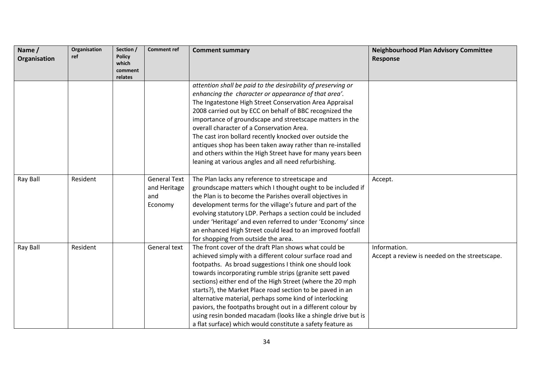| Name /<br>Organisation | Organisation<br>ref | Section /<br><b>Policy</b><br>which<br>comment<br>relates | <b>Comment ref</b>                                    | <b>Comment summary</b>                                                                                                                                                                                                                                                                                                                                                                                                                                                                                                                                                                                                     | <b>Neighbourhood Plan Advisory Committee</b><br>Response      |
|------------------------|---------------------|-----------------------------------------------------------|-------------------------------------------------------|----------------------------------------------------------------------------------------------------------------------------------------------------------------------------------------------------------------------------------------------------------------------------------------------------------------------------------------------------------------------------------------------------------------------------------------------------------------------------------------------------------------------------------------------------------------------------------------------------------------------------|---------------------------------------------------------------|
|                        |                     |                                                           |                                                       | attention shall be paid to the desirability of preserving or<br>enhancing the character or appearance of that area'.<br>The Ingatestone High Street Conservation Area Appraisal<br>2008 carried out by ECC on behalf of BBC recognized the<br>importance of groundscape and streetscape matters in the<br>overall character of a Conservation Area.<br>The cast iron bollard recently knocked over outside the<br>antiques shop has been taken away rather than re-installed<br>and others within the High Street have for many years been<br>leaning at various angles and all need refurbishing.                         |                                                               |
| Ray Ball               | Resident            |                                                           | <b>General Text</b><br>and Heritage<br>and<br>Economy | The Plan lacks any reference to streetscape and<br>groundscape matters which I thought ought to be included if<br>the Plan is to become the Parishes overall objectives in<br>development terms for the village's future and part of the<br>evolving statutory LDP. Perhaps a section could be included<br>under 'Heritage' and even referred to under 'Economy' since<br>an enhanced High Street could lead to an improved footfall<br>for shopping from outside the area.                                                                                                                                                | Accept.                                                       |
| Ray Ball               | Resident            |                                                           | General text                                          | The front cover of the draft Plan shows what could be<br>achieved simply with a different colour surface road and<br>footpaths. As broad suggestions I think one should look<br>towards incorporating rumble strips (granite sett paved<br>sections) either end of the High Street (where the 20 mph<br>starts?), the Market Place road section to be paved in an<br>alternative material, perhaps some kind of interlocking<br>paviors, the footpaths brought out in a different colour by<br>using resin bonded macadam (looks like a shingle drive but is<br>a flat surface) which would constitute a safety feature as | Information.<br>Accept a review is needed on the streetscape. |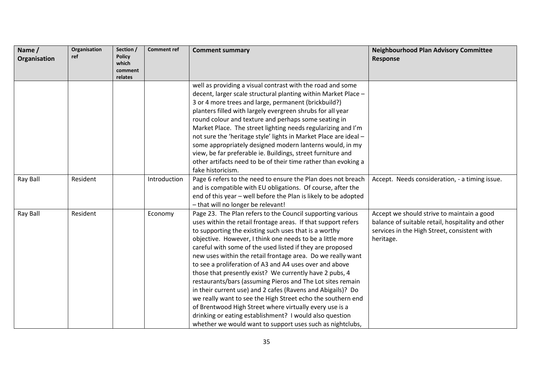| Name /       | Organisation<br>ref | Section /<br><b>Policy</b> | <b>Comment ref</b> | <b>Comment summary</b>                                           | <b>Neighbourhood Plan Advisory Committee</b>      |
|--------------|---------------------|----------------------------|--------------------|------------------------------------------------------------------|---------------------------------------------------|
| Organisation |                     | which<br>comment           |                    |                                                                  | <b>Response</b>                                   |
|              |                     | relates                    |                    |                                                                  |                                                   |
|              |                     |                            |                    | well as providing a visual contrast with the road and some       |                                                   |
|              |                     |                            |                    | decent, larger scale structural planting within Market Place -   |                                                   |
|              |                     |                            |                    | 3 or 4 more trees and large, permanent (brickbuild?)             |                                                   |
|              |                     |                            |                    | planters filled with largely evergreen shrubs for all year       |                                                   |
|              |                     |                            |                    | round colour and texture and perhaps some seating in             |                                                   |
|              |                     |                            |                    | Market Place. The street lighting needs regularizing and I'm     |                                                   |
|              |                     |                            |                    | not sure the 'heritage style' lights in Market Place are ideal - |                                                   |
|              |                     |                            |                    | some appropriately designed modern lanterns would, in my         |                                                   |
|              |                     |                            |                    | view, be far preferable ie. Buildings, street furniture and      |                                                   |
|              |                     |                            |                    | other artifacts need to be of their time rather than evoking a   |                                                   |
|              |                     |                            |                    | fake historicism.                                                |                                                   |
| Ray Ball     | Resident            |                            | Introduction       | Page 6 refers to the need to ensure the Plan does not breach     | Accept. Needs consideration, - a timing issue.    |
|              |                     |                            |                    | and is compatible with EU obligations. Of course, after the      |                                                   |
|              |                     |                            |                    | end of this year - well before the Plan is likely to be adopted  |                                                   |
|              |                     |                            |                    | - that will no longer be relevant!                               |                                                   |
| Ray Ball     | Resident            |                            | Economy            | Page 23. The Plan refers to the Council supporting various       | Accept we should strive to maintain a good        |
|              |                     |                            |                    | uses within the retail frontage areas. If that support refers    | balance of suitable retail, hospitality and other |
|              |                     |                            |                    | to supporting the existing such uses that is a worthy            | services in the High Street, consistent with      |
|              |                     |                            |                    | objective. However, I think one needs to be a little more        | heritage.                                         |
|              |                     |                            |                    | careful with some of the used listed if they are proposed        |                                                   |
|              |                     |                            |                    | new uses within the retail frontage area. Do we really want      |                                                   |
|              |                     |                            |                    | to see a proliferation of A3 and A4 uses over and above          |                                                   |
|              |                     |                            |                    | those that presently exist? We currently have 2 pubs, 4          |                                                   |
|              |                     |                            |                    | restaurants/bars (assuming Pieros and The Lot sites remain       |                                                   |
|              |                     |                            |                    | in their current use) and 2 cafes (Ravens and Abigails)? Do      |                                                   |
|              |                     |                            |                    | we really want to see the High Street echo the southern end      |                                                   |
|              |                     |                            |                    | of Brentwood High Street where virtually every use is a          |                                                   |
|              |                     |                            |                    | drinking or eating establishment? I would also question          |                                                   |
|              |                     |                            |                    | whether we would want to support uses such as nightclubs,        |                                                   |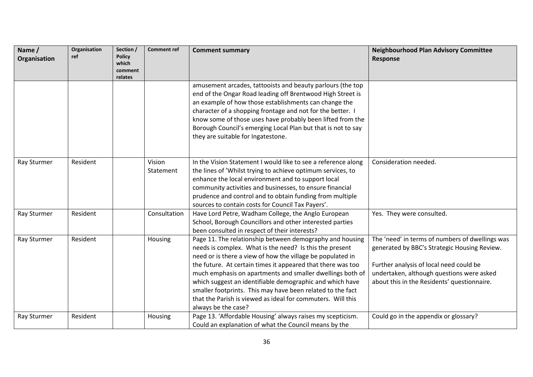| Name /<br>Organisation | Organisation<br>ref | Section /<br><b>Policy</b><br>which | <b>Comment ref</b>  | <b>Comment summary</b>                                                                                                                                                                                                                                                                                                                                                                                                                                                                                                        | <b>Neighbourhood Plan Advisory Committee</b><br>Response                                                                                                                                                                               |
|------------------------|---------------------|-------------------------------------|---------------------|-------------------------------------------------------------------------------------------------------------------------------------------------------------------------------------------------------------------------------------------------------------------------------------------------------------------------------------------------------------------------------------------------------------------------------------------------------------------------------------------------------------------------------|----------------------------------------------------------------------------------------------------------------------------------------------------------------------------------------------------------------------------------------|
|                        |                     | comment<br>relates                  |                     |                                                                                                                                                                                                                                                                                                                                                                                                                                                                                                                               |                                                                                                                                                                                                                                        |
|                        |                     |                                     |                     | amusement arcades, tattooists and beauty parlours (the top<br>end of the Ongar Road leading off Brentwood High Street is<br>an example of how those establishments can change the<br>character of a shopping frontage and not for the better. I<br>know some of those uses have probably been lifted from the<br>Borough Council's emerging Local Plan but that is not to say<br>they are suitable for Ingatestone.                                                                                                           |                                                                                                                                                                                                                                        |
| Ray Sturmer            | Resident            |                                     | Vision<br>Statement | In the Vision Statement I would like to see a reference along<br>the lines of 'Whilst trying to achieve optimum services, to<br>enhance the local environment and to support local<br>community activities and businesses, to ensure financial<br>prudence and control and to obtain funding from multiple<br>sources to contain costs for Council Tax Payers'.                                                                                                                                                               | Consideration needed.                                                                                                                                                                                                                  |
| Ray Sturmer            | Resident            |                                     | Consultation        | Have Lord Petre, Wadham College, the Anglo European<br>School, Borough Councillors and other interested parties<br>been consulted in respect of their interests?                                                                                                                                                                                                                                                                                                                                                              | Yes. They were consulted.                                                                                                                                                                                                              |
| Ray Sturmer            | Resident            |                                     | Housing             | Page 11. The relationship between demography and housing<br>needs is complex. What is the need? Is this the present<br>need or is there a view of how the village be populated in<br>the future. At certain times it appeared that there was too<br>much emphasis on apartments and smaller dwellings both of<br>which suggest an identifiable demographic and which have<br>smaller footprints. This may have been related to the fact<br>that the Parish is viewed as ideal for commuters. Will this<br>always be the case? | The 'need' in terms of numbers of dwellings was<br>generated by BBC's Strategic Housing Review.<br>Further analysis of local need could be<br>undertaken, although questions were asked<br>about this in the Residents' questionnaire. |
| Ray Sturmer            | Resident            |                                     | Housing             | Page 13. 'Affordable Housing' always raises my scepticism.<br>Could an explanation of what the Council means by the                                                                                                                                                                                                                                                                                                                                                                                                           | Could go in the appendix or glossary?                                                                                                                                                                                                  |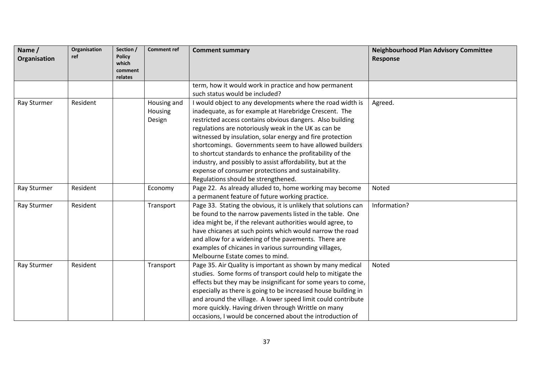| Name /<br>Organisation | Organisation<br>ref | Section /<br><b>Policy</b><br>which<br>comment<br>relates | <b>Comment ref</b> | <b>Comment summary</b>                                          | <b>Neighbourhood Plan Advisory Committee</b><br>Response |
|------------------------|---------------------|-----------------------------------------------------------|--------------------|-----------------------------------------------------------------|----------------------------------------------------------|
|                        |                     |                                                           |                    | term, how it would work in practice and how permanent           |                                                          |
|                        |                     |                                                           |                    | such status would be included?                                  |                                                          |
| Ray Sturmer            | Resident            |                                                           | Housing and        | I would object to any developments where the road width is      | Agreed.                                                  |
|                        |                     |                                                           | Housing            | inadequate, as for example at Harebridge Crescent. The          |                                                          |
|                        |                     |                                                           | Design             | restricted access contains obvious dangers. Also building       |                                                          |
|                        |                     |                                                           |                    | regulations are notoriously weak in the UK as can be            |                                                          |
|                        |                     |                                                           |                    | witnessed by insulation, solar energy and fire protection       |                                                          |
|                        |                     |                                                           |                    | shortcomings. Governments seem to have allowed builders         |                                                          |
|                        |                     |                                                           |                    | to shortcut standards to enhance the profitability of the       |                                                          |
|                        |                     |                                                           |                    | industry, and possibly to assist affordability, but at the      |                                                          |
|                        |                     |                                                           |                    | expense of consumer protections and sustainability.             |                                                          |
|                        |                     |                                                           |                    | Regulations should be strengthened.                             |                                                          |
| Ray Sturmer            | Resident            |                                                           | Economy            | Page 22. As already alluded to, home working may become         | Noted                                                    |
|                        |                     |                                                           |                    | a permanent feature of future working practice.                 |                                                          |
| Ray Sturmer            | Resident            |                                                           | Transport          | Page 33. Stating the obvious, it is unlikely that solutions can | Information?                                             |
|                        |                     |                                                           |                    | be found to the narrow pavements listed in the table. One       |                                                          |
|                        |                     |                                                           |                    | idea might be, if the relevant authorities would agree, to      |                                                          |
|                        |                     |                                                           |                    | have chicanes at such points which would narrow the road        |                                                          |
|                        |                     |                                                           |                    | and allow for a widening of the pavements. There are            |                                                          |
|                        |                     |                                                           |                    | examples of chicanes in various surrounding villages,           |                                                          |
|                        |                     |                                                           |                    | Melbourne Estate comes to mind.                                 |                                                          |
| Ray Sturmer            | Resident            |                                                           | Transport          | Page 35. Air Quality is important as shown by many medical      | Noted                                                    |
|                        |                     |                                                           |                    | studies. Some forms of transport could help to mitigate the     |                                                          |
|                        |                     |                                                           |                    | effects but they may be insignificant for some years to come,   |                                                          |
|                        |                     |                                                           |                    | especially as there is going to be increased house building in  |                                                          |
|                        |                     |                                                           |                    | and around the village. A lower speed limit could contribute    |                                                          |
|                        |                     |                                                           |                    | more quickly. Having driven through Writtle on many             |                                                          |
|                        |                     |                                                           |                    | occasions, I would be concerned about the introduction of       |                                                          |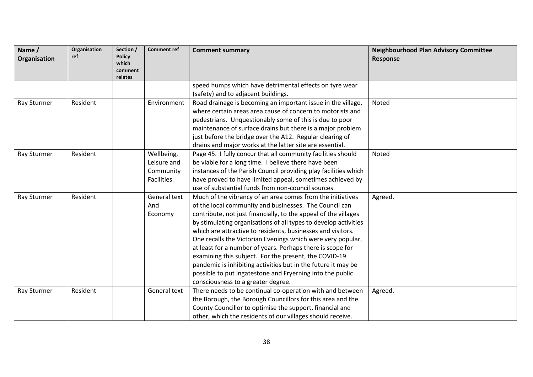| Name /<br>Organisation | Organisation<br>ref | Section /<br><b>Policy</b><br>which<br>comment | <b>Comment ref</b> | <b>Comment summary</b>                                          | <b>Neighbourhood Plan Advisory Committee</b><br>Response |
|------------------------|---------------------|------------------------------------------------|--------------------|-----------------------------------------------------------------|----------------------------------------------------------|
|                        |                     | relates                                        |                    |                                                                 |                                                          |
|                        |                     |                                                |                    | speed humps which have detrimental effects on tyre wear         |                                                          |
|                        |                     |                                                |                    | (safety) and to adjacent buildings.                             |                                                          |
| Ray Sturmer            | Resident            |                                                | Environment        | Road drainage is becoming an important issue in the village,    | Noted                                                    |
|                        |                     |                                                |                    | where certain areas area cause of concern to motorists and      |                                                          |
|                        |                     |                                                |                    | pedestrians. Unquestionably some of this is due to poor         |                                                          |
|                        |                     |                                                |                    | maintenance of surface drains but there is a major problem      |                                                          |
|                        |                     |                                                |                    | just before the bridge over the A12. Regular clearing of        |                                                          |
|                        |                     |                                                |                    | drains and major works at the latter site are essential.        |                                                          |
| Ray Sturmer            | Resident            |                                                | Wellbeing,         | Page 45. I fully concur that all community facilities should    | Noted                                                    |
|                        |                     |                                                | Leisure and        | be viable for a long time. I believe there have been            |                                                          |
|                        |                     |                                                | Community          | instances of the Parish Council providing play facilities which |                                                          |
|                        |                     |                                                | Facilities.        | have proved to have limited appeal, sometimes achieved by       |                                                          |
|                        |                     |                                                |                    | use of substantial funds from non-council sources.              |                                                          |
| Ray Sturmer            | Resident            |                                                | General text       | Much of the vibrancy of an area comes from the initiatives      | Agreed.                                                  |
|                        |                     |                                                | And                | of the local community and businesses. The Council can          |                                                          |
|                        |                     |                                                | Economy            | contribute, not just financially, to the appeal of the villages |                                                          |
|                        |                     |                                                |                    | by stimulating organisations of all types to develop activities |                                                          |
|                        |                     |                                                |                    | which are attractive to residents, businesses and visitors.     |                                                          |
|                        |                     |                                                |                    | One recalls the Victorian Evenings which were very popular,     |                                                          |
|                        |                     |                                                |                    | at least for a number of years. Perhaps there is scope for      |                                                          |
|                        |                     |                                                |                    | examining this subject. For the present, the COVID-19           |                                                          |
|                        |                     |                                                |                    | pandemic is inhibiting activities but in the future it may be   |                                                          |
|                        |                     |                                                |                    | possible to put Ingatestone and Fryerning into the public       |                                                          |
|                        |                     |                                                |                    | consciousness to a greater degree.                              |                                                          |
| Ray Sturmer            | Resident            |                                                | General text       | There needs to be continual co-operation with and between       | Agreed.                                                  |
|                        |                     |                                                |                    | the Borough, the Borough Councillors for this area and the      |                                                          |
|                        |                     |                                                |                    | County Councillor to optimise the support, financial and        |                                                          |
|                        |                     |                                                |                    | other, which the residents of our villages should receive.      |                                                          |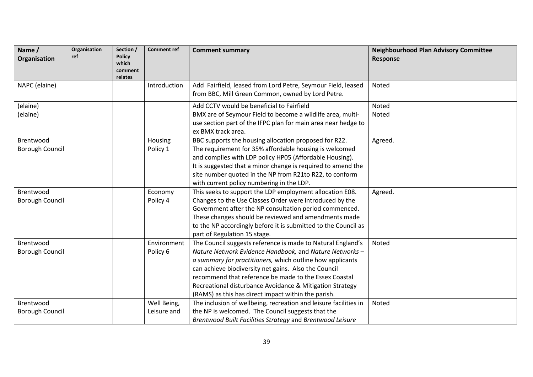| Name /<br>Organisation              | Organisation<br>ref | Section /<br><b>Policy</b><br>which<br>comment<br>relates | <b>Comment ref</b>         | <b>Comment summary</b>                                                                                                                                                                                                                                                                                                                                                                                                  | <b>Neighbourhood Plan Advisory Committee</b><br>Response |
|-------------------------------------|---------------------|-----------------------------------------------------------|----------------------------|-------------------------------------------------------------------------------------------------------------------------------------------------------------------------------------------------------------------------------------------------------------------------------------------------------------------------------------------------------------------------------------------------------------------------|----------------------------------------------------------|
| NAPC (elaine)                       |                     |                                                           | Introduction               | Add Fairfield, leased from Lord Petre, Seymour Field, leased<br>from BBC, Mill Green Common, owned by Lord Petre.                                                                                                                                                                                                                                                                                                       | Noted                                                    |
| (elaine)                            |                     |                                                           |                            | Add CCTV would be beneficial to Fairfield                                                                                                                                                                                                                                                                                                                                                                               | Noted                                                    |
| (elaine)                            |                     |                                                           |                            | BMX are of Seymour Field to become a wildlife area, multi-<br>use section part of the IFPC plan for main area near hedge to<br>ex BMX track area.                                                                                                                                                                                                                                                                       | Noted                                                    |
| Brentwood<br><b>Borough Council</b> |                     |                                                           | Housing<br>Policy 1        | BBC supports the housing allocation proposed for R22.<br>The requirement for 35% affordable housing is welcomed<br>and complies with LDP policy HP05 (Affordable Housing).<br>It is suggested that a minor change is required to amend the<br>site number quoted in the NP from R21to R22, to conform<br>with current policy numbering in the LDP.                                                                      | Agreed.                                                  |
| Brentwood<br><b>Borough Council</b> |                     |                                                           | Economy<br>Policy 4        | This seeks to support the LDP employment allocation E08.<br>Changes to the Use Classes Order were introduced by the<br>Government after the NP consultation period commenced.<br>These changes should be reviewed and amendments made<br>to the NP accordingly before it is submitted to the Council as<br>part of Regulation 15 stage.                                                                                 | Agreed.                                                  |
| Brentwood<br><b>Borough Council</b> |                     |                                                           | Environment<br>Policy 6    | The Council suggests reference is made to Natural England's<br>Nature Network Evidence Handbook, and Nature Networks -<br>a summary for practitioners, which outline how applicants<br>can achieve biodiversity net gains. Also the Council<br>recommend that reference be made to the Essex Coastal<br>Recreational disturbance Avoidance & Mitigation Strategy<br>(RAMS) as this has direct impact within the parish. | Noted                                                    |
| Brentwood<br><b>Borough Council</b> |                     |                                                           | Well Being,<br>Leisure and | The inclusion of wellbeing, recreation and leisure facilities in<br>the NP is welcomed. The Council suggests that the<br>Brentwood Built Facilities Strategy and Brentwood Leisure                                                                                                                                                                                                                                      | Noted                                                    |